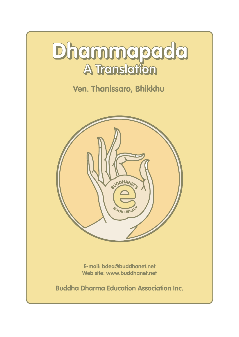

**Ven. Thanissaro, Bhikkhu**



**E-mail: bdea@buddhanet.net Web site: www.buddhanet.net**

**Buddha Dharma Education Association Inc.**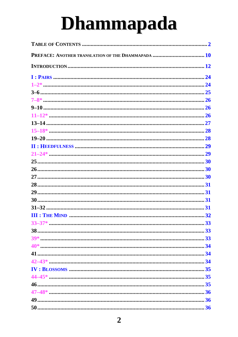# Dhammapada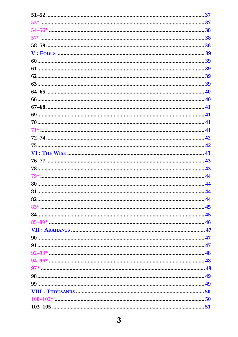| 85–89* …………………………………………………………………………………………… 46 |  |
|-----------------------------------------------|--|
|                                               |  |
|                                               |  |
|                                               |  |
|                                               |  |
|                                               |  |
|                                               |  |
|                                               |  |
|                                               |  |
|                                               |  |
|                                               |  |
|                                               |  |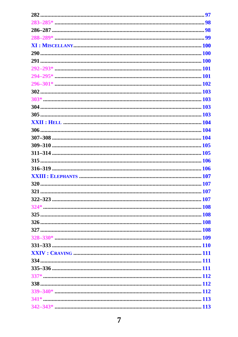| <b>XXII</b> : HELL ………………………………………………………………………………………104 |  |
|---------------------------------------------------------|--|
|                                                         |  |
|                                                         |  |
|                                                         |  |
|                                                         |  |
|                                                         |  |
|                                                         |  |
|                                                         |  |
|                                                         |  |
|                                                         |  |
|                                                         |  |
|                                                         |  |
|                                                         |  |
|                                                         |  |
|                                                         |  |
|                                                         |  |
|                                                         |  |
|                                                         |  |
|                                                         |  |
|                                                         |  |
|                                                         |  |
|                                                         |  |
|                                                         |  |
|                                                         |  |
|                                                         |  |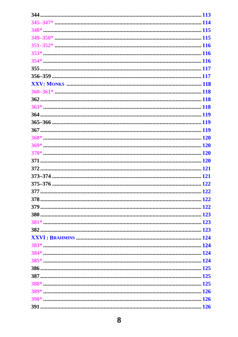| XXV: MONKS ………………………………………………………………………………………118 |  |
|-------------------------------------------------|--|
|                                                 |  |
|                                                 |  |
|                                                 |  |
|                                                 |  |
|                                                 |  |
|                                                 |  |
|                                                 |  |
|                                                 |  |
|                                                 |  |
|                                                 |  |
|                                                 |  |
|                                                 |  |
|                                                 |  |
|                                                 |  |
|                                                 |  |
|                                                 |  |
|                                                 |  |
|                                                 |  |
|                                                 |  |
|                                                 |  |
|                                                 |  |
|                                                 |  |
|                                                 |  |
|                                                 |  |
|                                                 |  |
|                                                 |  |
|                                                 |  |
|                                                 |  |
|                                                 |  |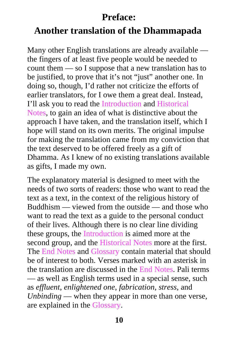# **Preface:**

# <span id="page-9-0"></span>**Another translation of the Dhammapada**

Many other English translations are already available the fingers of at least five people would be needed to count them — so I suppose that a new translation has to be justified, to prove that it's not "just" another one. In doing so, though, I'd rather not criticize the efforts of earlier translators, for I owe them a great deal. Instead, I'll ask you to read the [Introduction](#page-11-0) and [Historical](#page-135-0) [Notes,](#page-135-0) to gain an idea of what is distinctive about the approach I have taken, and the translation itself, which I hope will stand on its own merits. The original impulse for making the translation came from my conviction that the text deserved to be offered freely as a gift of Dhamma. As I knew of no existing translations available as gifts, I made my own.

The explanatory material is designed to meet with the needs of two sorts of readers: those who want to read the text as a text, in the context of the religious history of Buddhism — viewed from the outside — and those who want to read the text as a guide to the personal conduct of their lives. Although there is no clear line dividing these groups, the [Introduction](#page-11-0) is aimed more at the second group, and the [Historical Notes m](#page-135-0)ore at the first. The [End Notes](#page-151-0) and [Glossary](#page-174-0) contain material that should be of interest to both. Verses marked with an asterisk in the translation are discussed in the [End Notes.](#page-151-0) Pali terms — as well as English terms used in a special sense, such as *effluent*, *enlightened one*, *fabrication*, *stress*, and *Unbinding* — when they appear in more than one verse, are explained in the [Glossary.](#page-174-0)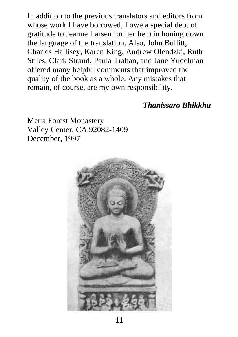In addition to the previous translators and editors from whose work I have borrowed, I owe a special debt of gratitude to Jeanne Larsen for her help in honing down the language of the translation. Also, John Bullitt, Charles Hallisey, Karen King, Andrew Olendzki, Ruth Stiles, Clark Strand, Paula Trahan, and Jane Yudelman offered many helpful comments that improved the quality of the book as a whole. Any mistakes that remain, of course, are my own responsibility.

#### *Thanissaro Bhikkhu*

Metta Forest Monastery Valley Center, CA 92082-1409 December, 1997

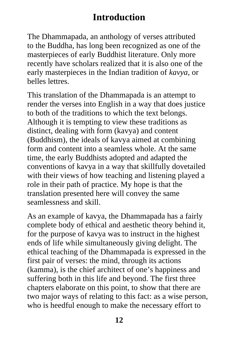# **Introduction**

<span id="page-11-0"></span>The Dhammapada, an anthology of verses attributed to the Buddha, has long been recognized as one of the masterpieces of early Buddhist literature. Only more recently have scholars realized that it is also one of the early masterpieces in the Indian tradition of *kavya*, or belles lettres.

This translation of the Dhammapada is an attempt to render the verses into English in a way that does justice to both of the traditions to which the text belongs. Although it is tempting to view these traditions as distinct, dealing with form (kavya) and content (Buddhism), the ideals of kavya aimed at combining form and content into a seamless whole. At the same time, the early Buddhists adopted and adapted the conventions of kavya in a way that skillfully dovetailed with their views of how teaching and listening played a role in their path of practice. My hope is that the translation presented here will convey the same seamlessness and skill.

As an example of kavya, the Dhammapada has a fairly complete body of ethical and aesthetic theory behind it, for the purpose of kavya was to instruct in the highest ends of life while simultaneously giving delight. The ethical teaching of the Dhammapada is expressed in the first pair of verses: the mind, through its actions (kamma), is the chief architect of one's happiness and suffering both in this life and beyond. The first three chapters elaborate on this point, to show that there are two major ways of relating to this fact: as a wise person, who is heedful enough to make the necessary effort to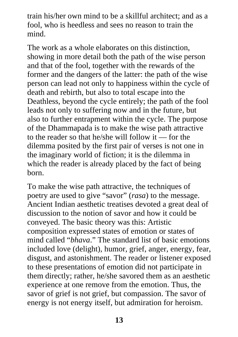train his/her own mind to be a skillful architect; and as a fool, who is heedless and sees no reason to train the mind.

The work as a whole elaborates on this distinction, showing in more detail both the path of the wise person and that of the fool, together with the rewards of the former and the dangers of the latter: the path of the wise person can lead not only to happiness within the cycle of death and rebirth, but also to total escape into the Deathless, beyond the cycle entirely; the path of the fool leads not only to suffering now and in the future, but also to further entrapment within the cycle. The purpose of the Dhammapada is to make the wise path attractive to the reader so that he/she will follow it — for the dilemma posited by the first pair of verses is not one in the imaginary world of fiction; it is the dilemma in which the reader is already placed by the fact of being born.

To make the wise path attractive, the techniques of poetry are used to give "savor" (*rasa*) to the message. Ancient Indian aesthetic treatises devoted a great deal of discussion to the notion of savor and how it could be conveyed. The basic theory was this: Artistic composition expressed states of emotion or states of mind called "*bhava*." The standard list of basic emotions included love (delight), humor, grief, anger, energy, fear, disgust, and astonishment. The reader or listener exposed to these presentations of emotion did not participate in them directly; rather, he/she savored them as an aesthetic experience at one remove from the emotion. Thus, the savor of grief is not grief, but compassion. The savor of energy is not energy itself, but admiration for heroism.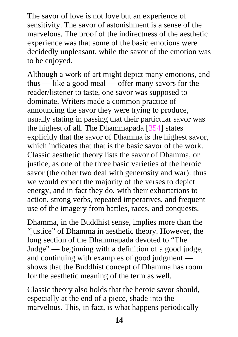The savor of love is not love but an experience of sensitivity. The savor of astonishment is a sense of the marvelous. The proof of the indirectness of the aesthetic experience was that some of the basic emotions were decidedly unpleasant, while the savor of the emotion was to be enjoyed.

Although a work of art might depict many emotions, and thus — like a good meal — offer many savors for the reader/listener to taste, one savor was supposed to dominate. Writers made a common practice of announcing the savor they were trying to produce, usually stating in passing that their particular savor was the highest of all. The Dhammapada [\[354\]](#page-115-0) states explicitly that the savor of Dhamma is the highest savor, which indicates that that is the basic savor of the work. Classic aesthetic theory lists the savor of Dhamma, or justice, as one of the three basic varieties of the heroic savor (the other two deal with generosity and war): thus we would expect the majority of the verses to depict energy, and in fact they do, with their exhortations to action, strong verbs, repeated imperatives, and frequent use of the imagery from battles, races, and conquests.

Dhamma, in the Buddhist sense, implies more than the "justice" of Dhamma in aesthetic theory. However, the long section of the Dhammapada devoted to "The Judge" — beginning with a definition of a good judge, and continuing with examples of good judgment shows that the Buddhist concept of Dhamma has room for the aesthetic meaning of the term as well.

Classic theory also holds that the heroic savor should, especially at the end of a piece, shade into the marvelous. This, in fact, is what happens periodically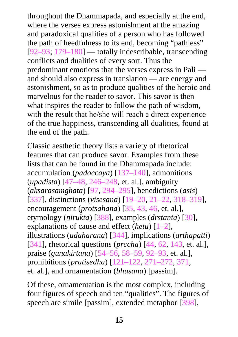throughout the Dhammapada, and especially at the end, where the verses express astonishment at the amazing and paradoxical qualities of a person who has followed the path of heedfulness to its end, becoming "pathless" [\[92–93;](#page-47-0) [179–180\]](#page-70-0) — totally indescribable, transcending conflicts and dualities of every sort. Thus the predominant emotions that the verses express in Pali and should also express in translation — are energy and astonishment, so as to produce qualities of the heroic and marvelous for the reader to savor. This savor is then what inspires the reader to follow the path of wisdom, with the result that he/she will reach a direct experience of the true happiness, transcending all dualities, found at the end of the path.

Classic aesthetic theory lists a variety of rhetorical features that can produce savor. Examples from these lists that can be found in the Dhammapada include: accumulation (*padoccaya*) [\[137–140\],](#page-59-0) admonitions (*upadista*) [\[47–48,](#page-35-0) [246–248,](#page-88-0) et. al.], ambiguity (*aksarasamghata*) [\[97,](#page-48-0) [294–295\]](#page-100-0), benedictions (*asis*) [\[337\],](#page-111-0) distinctions (*visesana*) [\[19–20,](#page-27-0) [21–22,](#page-28-0) [318–319\]](#page-105-0), encouragement (*protsahana*) [\[35,](#page-32-0) [43,](#page-33-0) [46,](#page-34-0) et. al.], etymology (*nirukta*) [\[388\]](#page-124-0), examples (*drstanta*) [\[30\],](#page-30-0) explanations of cause and effect (*hetu*) [\[1–2\],](#page-23-0) illustrations (*udaharana*) [\[344\]](#page-112-0), implications (*arthapatti*) [\[341\]](#page-112-0), rhetorical questions (*prccha*) [\[44,](#page-34-0) [62,](#page-38-0) [143,](#page-60-0) et. al.], praise (*gunakirtana*) [\[54–56, 58–59,](#page-37-0) [92–93,](#page-47-0) et. al.], prohibitions (*pratisedha*) [\[121–122,](#page-55-0) [271–272,](#page-93-0) [371,](#page-119-0) et. al.], and ornamentation (*bhusana*) [passim].

Of these, ornamentation is the most complex, including four figures of speech and ten "qualities". The figures of speech are simile [passim], extended metaphor [\[398\]](#page-127-0),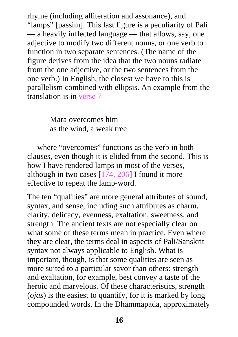rhyme (including alliteration and assonance), and "lamps" [passim]. This last figure is a peculiarity of Pali — a heavily inflected language — that allows, say, one adjective to modify two different nouns, or one verb to function in two separate sentences. (The name of the figure derives from the idea that the two nouns radiate from the one adjective, or the two sentences from the one verb.) In English, the closest we have to this is parallelism combined with ellipsis. An example from the translation is in [verse 7](#page-24-0) —

> Mara overcomes him as the wind, a weak tree

— where "overcomes" functions as the verb in both clauses, even though it is elided from the second. This is how I have rendered lamps in most of the verses, although in two cases [\[174,](#page-68-0) [206\]](#page-77-0) I found it more effective to repeat the lamp-word.

The ten "qualities" are more general attributes of sound, syntax, and sense, including such attributes as charm, clarity, delicacy, evenness, exaltation, sweetness, and strength. The ancient texts are not especially clear on what some of these terms mean in practice. Even where they are clear, the terms deal in aspects of Pali/Sanskrit syntax not always applicable to English. What is important, though, is that some qualities are seen as more suited to a particular savor than others: strength and exaltation, for example, best convey a taste of the heroic and marvelous. Of these characteristics, strength (*ojas*) is the easiest to quantify, for it is marked by long compounded words. In the Dhammapada, approximately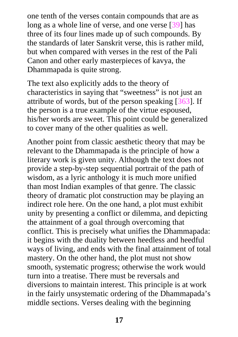one tenth of the verses contain compounds that are as long as a whole line of verse, and one verse [[39\]](#page-32-0) has three of its four lines made up of such compounds. By the standards of later Sanskrit verse, this is rather mild, but when compared with verses in the rest of the Pali Canon and other early masterpieces of kavya, the Dhammapada is quite strong.

The text also explicitly adds to the theory of characteristics in saying that "sweetness" is not just an attribute of words, but of the person speaking [\[363\]](#page-117-0). If the person is a true example of the virtue espoused, his/her words are sweet. This point could be generalized to cover many of the other qualities as well.

Another point from classic aesthetic theory that may be relevant to the Dhammapada is the principle of how a literary work is given unity. Although the text does not provide a step-by-step sequential portrait of the path of wisdom, as a lyric anthology it is much more unified than most Indian examples of that genre. The classic theory of dramatic plot construction may be playing an indirect role here. On the one hand, a plot must exhibit unity by presenting a conflict or dilemma, and depicting the attainment of a goal through overcoming that conflict. This is precisely what unifies the Dhammapada: it begins with the duality between heedless and heedful ways of living, and ends with the final attainment of total mastery. On the other hand, the plot must not show smooth, systematic progress; otherwise the work would turn into a treatise. There must be reversals and diversions to maintain interest. This principle is at work in the fairly unsystematic ordering of the Dhammapada's middle sections. Verses dealing with the beginning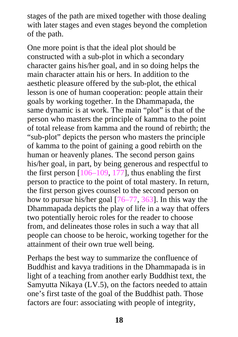stages of the path are mixed together with those dealing with later stages and even stages beyond the completion of the path.

One more point is that the ideal plot should be constructed with a sub-plot in which a secondary character gains his/her goal, and in so doing helps the main character attain his or hers. In addition to the aesthetic pleasure offered by the sub-plot, the ethical lesson is one of human cooperation: people attain their goals by working together. In the Dhammapada, the same dynamic is at work. The main "plot" is that of the person who masters the principle of kamma to the point of total release from kamma and the round of rebirth; the "sub-plot" depicts the person who masters the principle of kamma to the point of gaining a good rebirth on the human or heavenly planes. The second person gains his/her goal, in part, by being generous and respectful to the first person  $[106–109, 177]$  $[106–109, 177]$ , thus enabling the first person to practice to the point of total mastery. In return, the first person gives counsel to the second person on how to pursue his/her goal [\[76–77,](#page-42-0) [363\]](#page-117-0). In this way the Dhammapada depicts the play of life in a way that offers two potentially heroic roles for the reader to choose from, and delineates those roles in such a way that all people can choose to be heroic, working together for the attainment of their own true well being.

Perhaps the best way to summarize the confluence of Buddhist and kavya traditions in the Dhammapada is in light of a teaching from another early Buddhist text, the Samyutta Nikaya (LV.5), on the factors needed to attain one's first taste of the goal of the Buddhist path. Those factors are four: associating with people of integrity,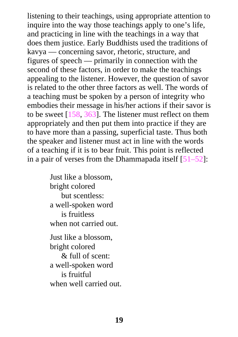listening to their teachings, using appropriate attention to inquire into the way those teachings apply to one's life, and practicing in line with the teachings in a way that does them justice. Early Buddhists used the traditions of kavya — concerning savor, rhetoric, structure, and figures of speech — primarily in connection with the second of these factors, in order to make the teachings appealing to the listener. However, the question of savor is related to the other three factors as well. The words of a teaching must be spoken by a person of integrity who embodies their message in his/her actions if their savor is to be sweet [\[158,](#page-64-0) [363\]](#page-117-0). The listener must reflect on them appropriately and then put them into practice if they are to have more than a passing, superficial taste. Thus both the speaker and listener must act in line with the words of a teaching if it is to bear fruit. This point is reflected in a pair of verses from the Dhammapada itself  $\lceil 51-52 \rceil$ :

> Just like a blossom, bright colored but scentless: a well-spoken word is fruitless when not carried out.

Just like a blossom, bright colored & full of scent: a well-spoken word is fruitful when well carried out.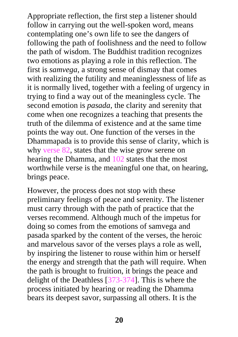Appropriate reflection, the first step a listener should follow in carrying out the well-spoken word, means contemplating one's own life to see the dangers of following the path of foolishness and the need to follow the path of wisdom. The Buddhist tradition recognizes two emotions as playing a role in this reflection. The first is *samvega*, a strong sense of dismay that comes with realizing the futility and meaninglessness of life as it is normally lived, together with a feeling of urgency in trying to find a way out of the meaningless cycle. The second emotion is *pasada*, the clarity and serenity that come when one recognizes a teaching that presents the truth of the dilemma of existence and at the same time points the way out. One function of the verses in the Dhammapada is to provide this sense of clarity, which is why [verse 82,](#page-43-0) states that the wise grow serene on hearing the Dhamma, and [102 s](#page-49-0)tates that the most worthwhile verse is the meaningful one that, on hearing, brings peace.

However, the process does not stop with these preliminary feelings of peace and serenity. The listener must carry through with the path of practice that the verses recommend. Although much of the impetus for doing so comes from the emotions of samvega and pasada sparked by the content of the verses, the heroic and marvelous savor of the verses plays a role as well, by inspiring the listener to rouse within him or herself the energy and strength that the path will require. When the path is brought to fruition, it brings the peace and delight of the Deathless [\[373-374\]](#page-120-0). This is where the process initiated by hearing or reading the Dhamma bears its deepest savor, surpassing all others. It is the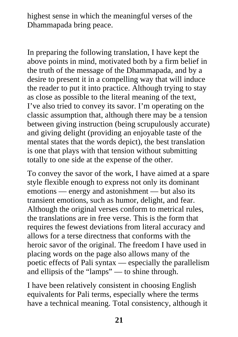highest sense in which the meaningful verses of the Dhammapada bring peace.

In preparing the following translation, I have kept the above points in mind, motivated both by a firm belief in the truth of the message of the Dhammapada, and by a desire to present it in a compelling way that will induce the reader to put it into practice. Although trying to stay as close as possible to the literal meaning of the text, I've also tried to convey its savor. I'm operating on the classic assumption that, although there may be a tension between giving instruction (being scrupulously accurate) and giving delight (providing an enjoyable taste of the mental states that the words depict), the best translation is one that plays with that tension without submitting totally to one side at the expense of the other.

To convey the savor of the work, I have aimed at a spare style flexible enough to express not only its dominant emotions — energy and astonishment — but also its transient emotions, such as humor, delight, and fear. Although the original verses conform to metrical rules, the translations are in free verse. This is the form that requires the fewest deviations from literal accuracy and allows for a terse directness that conforms with the heroic savor of the original. The freedom I have used in placing words on the page also allows many of the poetic effects of Pali syntax — especially the parallelism and ellipsis of the "lamps" — to shine through.

I have been relatively consistent in choosing English equivalents for Pali terms, especially where the terms have a technical meaning. Total consistency, although it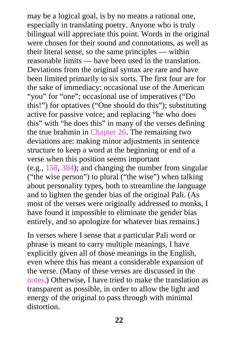may be a logical goal, is by no means a rational one, especially in translating poetry. Anyone who is truly bilingual will appreciate this point. Words in the original were chosen for their sound and connotations, as well as their literal sense, so the same principles — within reasonable limits — have been used in the translation. Deviations from the original syntax are rare and have been limited primarily to six sorts. The first four are for the sake of immediacy: occasional use of the American "you" for "one"; occasional use of imperatives ("Do") this!") for optatives ("One should do this"); substituting active for passive voice; and replacing "he who does this" with "he does this" in many of the verses defining the true brahmin i[n Chapter 26.](#page-123-0) The remaining two deviations are: making minor adjustments in sentence structure to keep a word at the beginning or end of a verse when this position seems important (e.g., [158,](#page-64-0) [384\)](#page-123-0); and changing the number from singular ("the wise person") to plural ("the wise") when talking about personality types, both to streamline the language and to lighten the gender bias of the original Pali. (As most of the verses were originally addressed to monks, I have found it impossible to eliminate the gender bias entirely, and so apologize for whatever bias remains.)

In verses where I sense that a particular Pali word or phrase is meant to carry multiple meanings, I have explicitly given all of those meanings in the English, even where this has meant a considerable expansion of the verse. (Many of these verses are discussed in the [notes.\)](#page-151-0) Otherwise, I have tried to make the translation as transparent as possible, in order to allow the light and energy of the original to pass through with minimal distortion.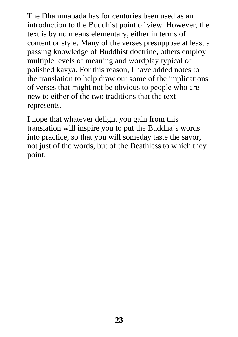The Dhammapada has for centuries been used as an introduction to the Buddhist point of view. However, the text is by no means elementary, either in terms of content or style. Many of the verses presuppose at least a passing knowledge of Buddhist doctrine, others employ multiple levels of meaning and wordplay typical of polished kavya. For this reason, I have added notes to the translation to help draw out some of the implications of verses that might not be obvious to people who are new to either of the two traditions that the text represents.

I hope that whatever delight you gain from this translation will inspire you to put the Buddha's words into practice, so that you will someday taste the savor, not just of the words, but of the Deathless to which they point.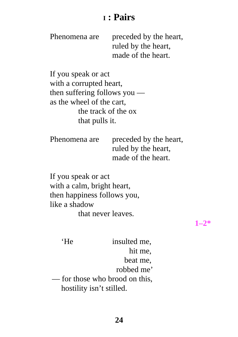### **I : Pairs**

<span id="page-23-0"></span>Phenomena are preceded by the heart, ruled by the heart, made of the heart.

If you speak or act with a corrupted heart, then suffering follows you as the wheel of the cart, the track of the ox that pulls it.

Phenomena are preceded by the heart, ruled by the heart, made of the heart.

If you speak or act with a calm, bright heart, then happiness follows you, like a shadow that never leaves.

**[1–2\\*](#page-151-0)**

'He insulted me, hit me, beat me, robbed me' — for those who brood on this, hostility isn't stilled.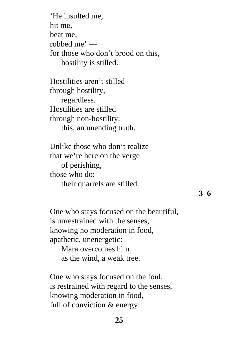<span id="page-24-0"></span>'He insulted me, hit me, beat me, robbed me' for those who don't brood on this, hostility is stilled.

Hostilities aren't stilled through hostility, regardless. Hostilities are stilled through non-hostility: this, an unending truth.

Unlike those who don't realize that we're here on the verge of perishing, those who do: their quarrels are stilled.

**3–6**

One who stays focused on the beautiful, is unrestrained with the senses, knowing no moderation in food, apathetic, unenergetic:

Mara overcomes him as the wind, a weak tree.

One who stays focused on the foul, is restrained with regard to the senses, knowing moderation in food, full of conviction & energy: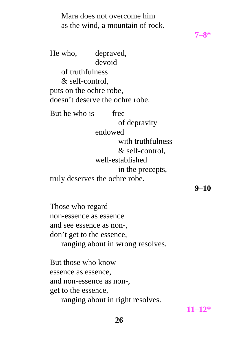<span id="page-25-0"></span>Mara does not overcome him as the wind, a mountain of rock.

**[7–8\\*](#page-151-0)**

He who, depraved, devoid of truthfulness & self-control, puts on the ochre robe, doesn't deserve the ochre robe. But he who is free of depravity endowed with truthfulness

> & self-control, well-established

in the precepts,

truly deserves the ochre robe.

**9–10**

Those who regard non-essence as essence and see essence as non-, don't get to the essence, ranging about in wrong resolves.

But those who know essence as essence, and non-essence as non-, get to the essence, ranging about in right resolves.

**[11–12\\*](#page-152-0)**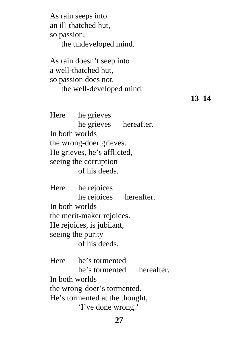<span id="page-26-0"></span>As rain seeps into an ill-thatched hut, so passion, the undeveloped mind.

As rain doesn't seep into a well-thatched hut, so passion does not, the well-developed mind.

**13–14**

Here he grieves he grieves hereafter. In both worlds the wrong-doer grieves. He grieves, he's afflicted, seeing the corruption of his deeds.

Here he rejoices he rejoices hereafter. In both worlds the merit-maker rejoices. He rejoices, is jubilant, seeing the purity of his deeds.

Here he's tormented he's tormented hereafter. In both worlds the wrong-doer's tormented. He's tormented at the thought, 'I've done wrong.'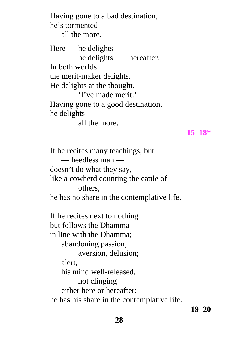<span id="page-27-0"></span>Having gone to a bad destination, he's tormented all the more. Here he delights he delights hereafter. In both worlds the merit-maker delights. He delights at the thought, 'I've made merit.' Having gone to a good destination, he delights all the more.

**[15–18\\*](#page-152-0)**

If he recites many teachings, but — heedless man doesn't do what they say, like a cowherd counting the cattle of others, he has no share in the contemplative life.

If he recites next to nothing but follows the Dhamma in line with the Dhamma; abandoning passion, aversion, delusion; alert, his mind well-released, not clinging either here or hereafter: he has his share in the contemplative life.

**19–20**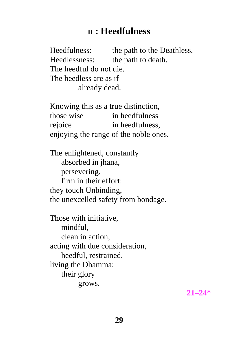# **II : Heedfulness**

<span id="page-28-0"></span>Heedfulness: the path to the Deathless. Heedlessness: the path to death. The heedful do not die. The heedless are as if already dead.

Knowing this as a true distinction, those wise in heedfulness rejoice in heedfulness, enjoying the range of the noble ones.

The enlightened, constantly absorbed in jhana, persevering, firm in their effort: they touch Unbinding, the unexcelled safety from bondage.

Those with initiative, mindful, clean in action, acting with due consideration, heedful, restrained, living the Dhamma: their glory grows.

**[21–24\\*](#page-152-0)**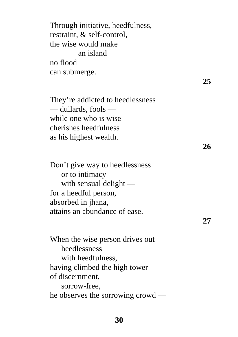<span id="page-29-0"></span>Through initiative, heedfulness, restraint, & self-control, the wise would make an island no flood can submerge.

They're addicted to heedlessness — dullards, fools while one who is wise cherishes heedfulness as his highest wealth.

Don't give way to heedlessness or to intimacy with sensual delight for a heedful person, absorbed in jhana, attains an abundance of ease.

**27**

**25**

**26**

When the wise person drives out heedlessness with heedfulness, having climbed the high tower of discernment, sorrow-free, he observes the sorrowing crowd —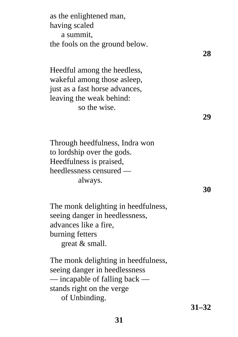<span id="page-30-0"></span>as the enlightened man, having scaled a summit, the fools on the ground below.

Heedful among the heedless, wakeful among those asleep, just as a fast horse advances, leaving the weak behind: so the wise.

**29**

**30**

**28**

Through heedfulness, Indra won to lordship over the gods. Heedfulness is praised, heedlessness censured always.

The monk delighting in heedfulness, seeing danger in heedlessness, advances like a fire, burning fetters great & small.

The monk delighting in heedfulness, seeing danger in heedlessness — incapable of falling back stands right on the verge of Unbinding.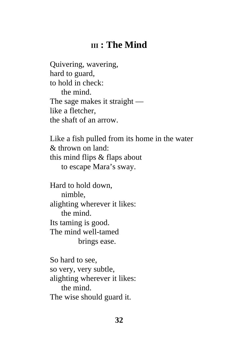## **III : The Mind**

<span id="page-31-0"></span>Quivering, wavering, hard to guard, to hold in check: the mind. The sage makes it straight like a fletcher, the shaft of an arrow.

Like a fish pulled from its home in the water & thrown on land: this mind flips & flaps about to escape Mara's sway.

Hard to hold down, nimble, alighting wherever it likes: the mind. Its taming is good. The mind well-tamed brings ease.

So hard to see, so very, very subtle, alighting wherever it likes: the mind. The wise should guard it.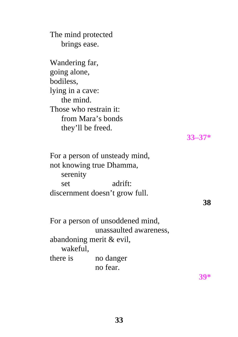<span id="page-32-0"></span>The mind protected brings ease.

Wandering far, going alone, bodiless, lying in a cave: the mind. Those who restrain it: from Mara's bonds they'll be freed.

**[33–37\\*](#page-153-0)**

For a person of unsteady mind, not knowing true Dhamma, serenity set adrift: discernment doesn't grow full.

**38**

For a person of unsoddened mind, unassaulted awareness, abandoning merit & evil, wakeful, there is no danger no fear.

**[39\\*](#page-153-0)**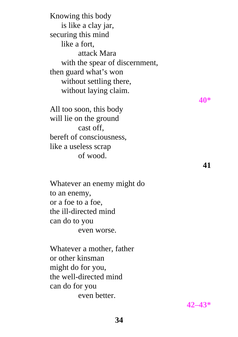<span id="page-33-0"></span>Knowing this body is like a clay jar, securing this mind like a fort, attack Mara with the spear of discernment, then guard what's won without settling there, without laying claim.

All too soon, this body will lie on the ground cast off, bereft of consciousness, like a useless scrap of wood.

Whatever an enemy might do to an enemy, or a foe to a foe, the ill-directed mind can do to you even worse.

Whatever a mother, father or other kinsman might do for you, the well-directed mind can do for you even better.

**[40\\*](#page-153-0)**

**41**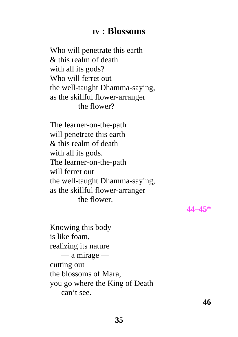#### **IV : Blossoms**

<span id="page-34-0"></span>Who will penetrate this earth & this realm of death with all its gods? Who will ferret out the well-taught Dhamma-saying, as the skillful flower-arranger the flower?

The learner-on-the-path will penetrate this earth & this realm of death with all its gods. The learner-on-the-path will ferret out the well-taught Dhamma-saying, as the skillful flower-arranger the flower.

**[44–45\\*](#page-153-0)**

Knowing this body is like foam, realizing its nature — a mirage cutting out the blossoms of Mara, you go where the King of Death can't see.

**46**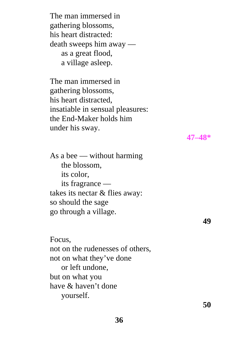<span id="page-35-0"></span>The man immersed in gathering blossoms, his heart distracted: death sweeps him away as a great flood, a village asleep.

The man immersed in gathering blossoms, his heart distracted, insatiable in sensual pleasures: the End-Maker holds him under his sway.

**[47–48\\*](#page-154-0)**

As a bee — without harming the blossom, its color, its fragrance takes its nectar & flies away: so should the sage go through a village.

**49**

Focus, not on the rudenesses of others, not on what they've done or left undone, but on what you have & haven't done yourself.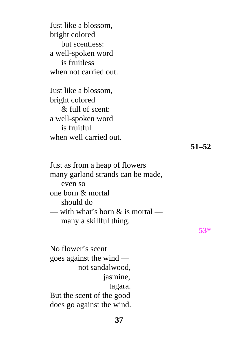Just like a blossom, bright colored but scentless: a well-spoken word is fruitless when not carried out.

Just like a blossom, bright colored & full of scent: a well-spoken word is fruitful when well carried out.

**51–52**

Just as from a heap of flowers many garland strands can be made, even so one born & mortal should do — with what's born & is mortal many a skillful thing.

**[53\\*](#page-154-0)**

No flower's scent goes against the wind not sandalwood, jasmine, tagara. But the scent of the good does go against the wind.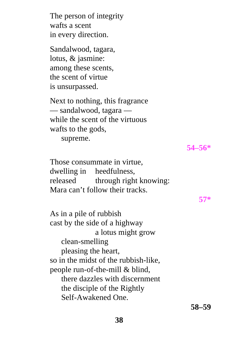The person of integrity wafts a scent in every direction. Sandalwood, tagara, lotus, & jasmine: among these scents, the scent of virtue is unsurpassed. Next to nothing, this fragrance — sandalwood, tagara while the scent of the virtuous wafts to the gods, supreme. **[54–56\\*](#page-154-0)** Those consummate in virtue, dwelling in heedfulness, released through right knowing: Mara can't follow their tracks. **[57\\*](#page-154-0)** As in a pile of rubbish cast by the side of a highway a lotus might grow clean-smelling pleasing the heart, so in the midst of the rubbish-like, people run-of-the-mill & blind, there dazzles with discernment the disciple of the Rightly Self-Awakened One.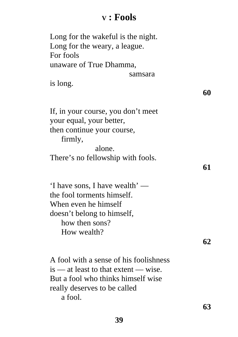# **V : Fools**

Long for the wakeful is the night. Long for the weary, a league. For fools unaware of True Dhamma, samsara is long. **60** If, in your course, you don't meet your equal, your better, then continue your course, firmly, alone. There's no fellowship with fools. **61** 'I have sons, I have wealth' the fool torments himself. When even he himself doesn't belong to himself, how then sons? How wealth? **62** A fool with a sense of his foolishness is — at least to that extent — wise. But a fool who thinks himself wise really deserves to be called a fool. **63**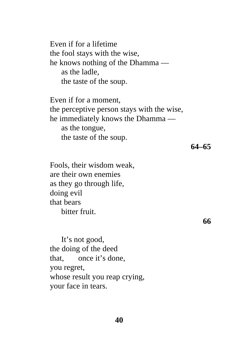Even if for a lifetime the fool stays with the wise, he knows nothing of the Dhamma as the ladle, the taste of the soup.

Even if for a moment, the perceptive person stays with the wise, he immediately knows the Dhamma as the tongue, the taste of the soup.

**64–65**

Fools, their wisdom weak, are their own enemies as they go through life, doing evil that bears bitter fruit.

**66**

It's not good, the doing of the deed that, once it's done, you regret, whose result you reap crying, your face in tears.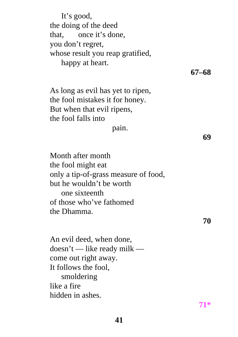It's good, the doing of the deed that, once it's done, you don't regret, whose result you reap gratified, happy at heart.

**67–68**

As long as evil has yet to ripen, the fool mistakes it for honey. But when that evil ripens, the fool falls into

pain.

**69**

Month after month the fool might eat only a tip-of-grass measure of food, but he wouldn't be worth one sixteenth of those who've fathomed the Dhamma.

**70**

An evil deed, when done, doesn't — like ready milk come out right away. It follows the fool, smoldering like a fire hidden in ashes.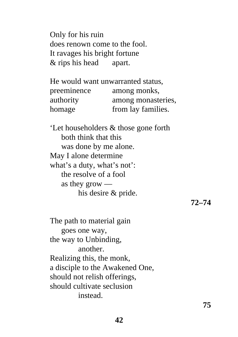Only for his ruin does renown come to the fool. It ravages his bright fortune & rips his head apart.

He would want unwarranted status, preeminence among monks, authority among monasteries, homage from lay families.

'Let householders & those gone forth both think that this was done by me alone. May I alone determine what's a duty, what's not': the resolve of a fool as they grow  $$ his desire & pride.

**72–74**

The path to material gain goes one way, the way to Unbinding, another. Realizing this, the monk, a disciple to the Awakened One, should not relish offerings, should cultivate seclusion instead.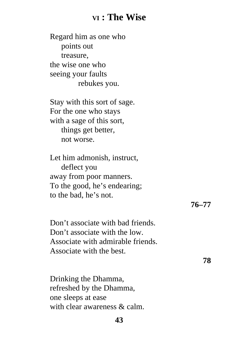### **VI : The Wise**

Regard him as one who points out treasure, the wise one who seeing your faults rebukes you.

Stay with this sort of sage. For the one who stays with a sage of this sort, things get better, not worse.

Let him admonish, instruct, deflect you away from poor manners. To the good, he's endearing; to the bad, he's not.

**76–77**

**78**

Don't associate with bad friends. Don't associate with the low. Associate with admirable friends. Associate with the best.

Drinking the Dhamma, refreshed by the Dhamma, one sleeps at ease with clear awareness & calm.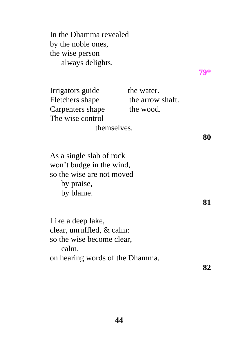In the Dhamma revealed by the noble ones, the wise person always delights.

**[79\\*](#page-155-0)**

**80**

**81**

| Irrigators guide       | the water.       |  |
|------------------------|------------------|--|
| <b>Fletchers shape</b> | the arrow shaft. |  |
| Carpenters shape       | the wood.        |  |
| The wise control       |                  |  |
| themselves.            |                  |  |

As a single slab of rock won't budge in the wind, so the wise are not moved by praise, by blame.

Like a deep lake, clear, unruffled, & calm: so the wise become clear, calm, on hearing words of the Dhamma.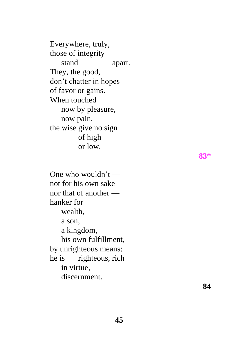Everywhere, truly, those of integrity stand apart. They, the good, don't chatter in hopes of favor or gains. When touched now by pleasure, now pain, the wise give no sign of high or low.

One who wouldn't not for his own sake nor that of another hanker for wealth, a son, a kingdom, his own fulfillment, by unrighteous means: he is righteous, rich in virtue, discernment.

**[83\\*](#page-155-0)**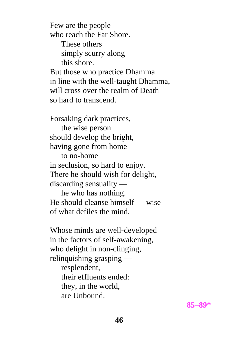Few are the people who reach the Far Shore.

> These others simply scurry along this shore.

But those who practice Dhamma in line with the well-taught Dhamma, will cross over the realm of Death so hard to transcend.

Forsaking dark practices, the wise person should develop the bright, having gone from home to no-home in seclusion, so hard to enjoy. There he should wish for delight, discarding sensuality —

he who has nothing. He should cleanse himself — wise of what defiles the mind.

Whose minds are well-developed in the factors of self-awakening, who delight in non-clinging, relinquishing grasping resplendent, their effluents ended: they, in the world, are Unbound.

**[85–89\\*](#page-155-0)**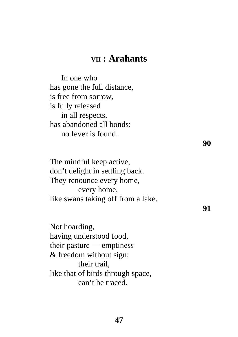### **VII : Arahants**

In one who has gone the full distance, is free from sorrow, is fully released in all respects, has abandoned all bonds: no fever is found.

The mindful keep active, don't delight in settling back. They renounce every home, every home, like swans taking off from a lake.

**91**

**90**

Not hoarding, having understood food, their pasture — emptiness & freedom without sign: their trail, like that of birds through space, can't be traced.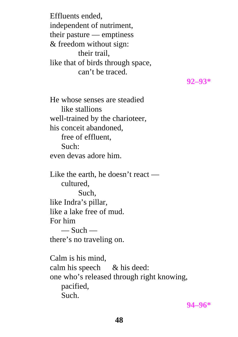Effluents ended, independent of nutriment, their pasture — emptiness & freedom without sign: their trail, like that of birds through space, can't be traced.

**[92–93\\*](#page-155-0)**

He whose senses are steadied like stallions well-trained by the charioteer, his conceit abandoned, free of effluent, Such: even devas adore him.

Like the earth, he doesn't react cultured, Such, like Indra's pillar, like a lake free of mud. For him  $\equiv$  Such  $\equiv$ there's no traveling on.

Calm is his mind, calm his speech & his deed: one who's released through right knowing, pacified, Such.

**[94–96\\*](#page-156-0)**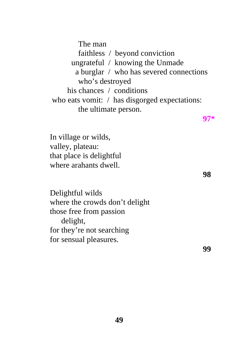The man faithless / beyond conviction ungrateful / knowing the Unmade a burglar / who has severed connections who's destroyed his chances / conditions who eats vomit: / has disgorged expectations: the ultimate person.

In village or wilds, valley, plateau: that place is delightful where arahants dwell.

**98**

**[97\\*](#page-156-0)**

Delightful wilds where the crowds don't delight those free from passion delight, for they're not searching for sensual pleasures.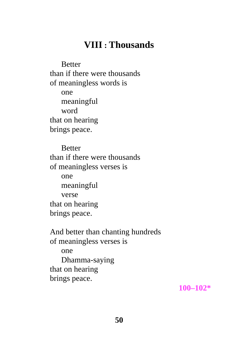# **VIII : Thousands**

Better than if there were thousands of meaningless words is one meaningful word that on hearing brings peace.

Better than if there were thousands of meaningless verses is one meaningful verse that on hearing brings peace.

And better than chanting hundreds of meaningless verses is one Dhamma-saying that on hearing brings peace.

**[100–102\\*](#page-156-0)**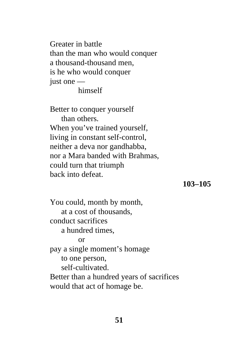Greater in battle than the man who would conquer a thousand-thousand men, is he who would conquer just one himself

Better to conquer yourself than others. When you've trained yourself, living in constant self-control, neither a deva nor gandhabba, nor a Mara banded with Brahmas, could turn that triumph back into defeat.

**103–105**

You could, month by month, at a cost of thousands, conduct sacrifices a hundred times, or pay a single moment's homage to one person, self-cultivated. Better than a hundred years of sacrifices would that act of homage be.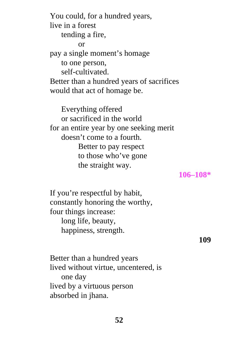You could, for a hundred years, live in a forest tending a fire, or pay a single moment's homage to one person, self-cultivated. Better than a hundred years of sacrifices would that act of homage be.

Everything offered or sacrificed in the world for an entire year by one seeking merit doesn't come to a fourth. Better to pay respect to those who've gone the straight way.

**[106–108\\*](#page-156-0)**

If you're respectful by habit, constantly honoring the worthy, four things increase: long life, beauty, happiness, strength.

**109**

Better than a hundred years lived without virtue, uncentered, is one day lived by a virtuous person absorbed in jhana.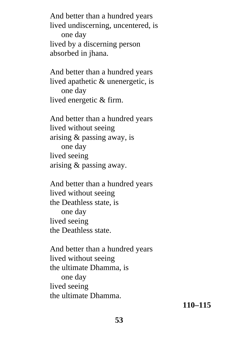And better than a hundred years lived undiscerning, uncentered, is one day lived by a discerning person absorbed in jhana.

And better than a hundred years lived apathetic & unenergetic, is one day lived energetic & firm.

And better than a hundred years lived without seeing arising & passing away, is one day lived seeing arising & passing away.

And better than a hundred years lived without seeing the Deathless state, is one day lived seeing the Deathless state.

And better than a hundred years lived without seeing the ultimate Dhamma, is one day lived seeing the ultimate Dhamma.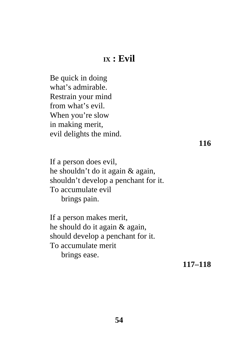## **IX : Evil**

Be quick in doing what's admirable. Restrain your mind from what's evil. When you're slow in making merit, evil delights the mind.

**116**

If a person does evil, he shouldn't do it again & again, shouldn't develop a penchant for it. To accumulate evil brings pain.

If a person makes merit, he should do it again & again, should develop a penchant for it. To accumulate merit brings ease.

**117–118**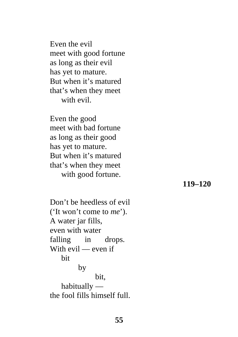Even the evil meet with good fortune as long as their evil has yet to mature. But when it's matured that's when they meet with evil.

Even the good meet with bad fortune as long as their good has yet to mature. But when it's matured that's when they meet with good fortune.

**119–120**

Don't be heedless of evil ('It won't come to *me*'). A water jar fills, even with water falling in drops. With evil — even if bit by bit, habitually the fool fills himself full.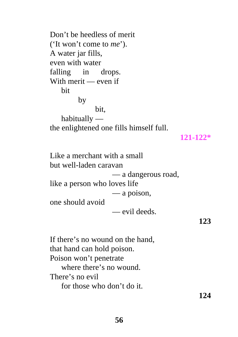Don't be heedless of merit ('It won't come to *me*'). A water jar fills, even with water falling in drops. With merit — even if bit by bit, habitually the enlightened one fills himself full. **[121-122\\*](#page-157-0)** Like a merchant with a small but well-laden caravan — a dangerous road, like a person who loves life — a poison, one should avoid — evil deeds. **123** If there's no wound on the hand, that hand can hold poison. Poison won't penetrate where there's no wound. There's no evil

for those who don't do it.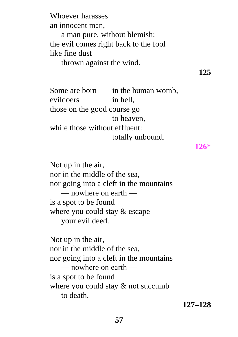Whoever harasses an innocent man, a man pure, without blemish: the evil comes right back to the fool like fine dust thrown against the wind.

Some are born in the human womb, evildoers in hell, those on the good course go to heaven, while those without effluent: totally unbound.

**[126\\*](#page-157-0)**

Not up in the air, nor in the middle of the sea, nor going into a cleft in the mountains — nowhere on earth is a spot to be found where you could stay & escape your evil deed.

Not up in the air, nor in the middle of the sea, nor going into a cleft in the mountains — nowhere on earth is a spot to be found where you could stay & not succumb to death.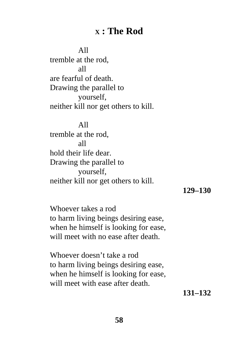# **X : The Rod**

All tremble at the rod, all are fearful of death. Drawing the parallel to yourself, neither kill nor get others to kill.

All tremble at the rod, all hold their life dear. Drawing the parallel to yourself, neither kill nor get others to kill.

**129–130**

Whoever takes a rod to harm living beings desiring ease, when he himself is looking for ease, will meet with no ease after death.

Whoever doesn't take a rod to harm living beings desiring ease, when he himself is looking for ease, will meet with ease after death.

**131–132**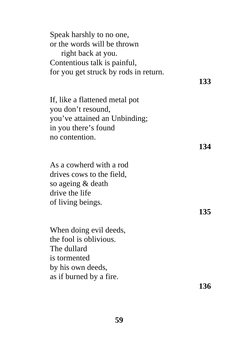| Speak harshly to no one,<br>or the words will be thrown<br>right back at you.<br>Contentious talk is painful,<br>for you get struck by rods in return. | 133 |
|--------------------------------------------------------------------------------------------------------------------------------------------------------|-----|
| If, like a flattened metal pot                                                                                                                         |     |
| you don't resound,                                                                                                                                     |     |
| you've attained an Unbinding;                                                                                                                          |     |
| in you there's found                                                                                                                                   |     |
| no contention.                                                                                                                                         |     |
|                                                                                                                                                        | 134 |
| As a cowherd with a rod<br>drives cows to the field,<br>so ageing & death<br>drive the life                                                            |     |
| of living beings.                                                                                                                                      |     |
|                                                                                                                                                        |     |
| When doing evil deeds,<br>the fool is oblivious.<br>The dullard                                                                                        |     |
| is tormented                                                                                                                                           |     |
| by his own deeds,                                                                                                                                      |     |
| as if burned by a fire.                                                                                                                                | 136 |
|                                                                                                                                                        |     |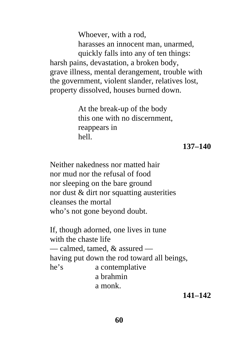Whoever, with a rod, harasses an innocent man, unarmed, quickly falls into any of ten things: harsh pains, devastation, a broken body, grave illness, mental derangement, trouble with the government, violent slander, relatives lost, property dissolved, houses burned down.

> At the break-up of the body this one with no discernment, reappears in hell.

#### **137–140**

Neither nakedness nor matted hair nor mud nor the refusal of food nor sleeping on the bare ground nor dust & dirt nor squatting austerities cleanses the mortal who's not gone beyond doubt.

If, though adorned, one lives in tune with the chaste life — calmed, tamed, & assured having put down the rod toward all beings, he's a contemplative a brahmin a monk.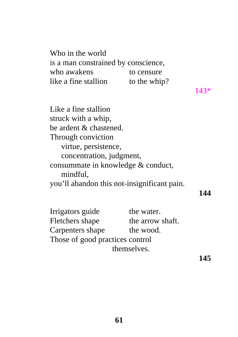Who in the world is a man constrained by conscience, who awakens to censure like a fine stallion to the whip?

**[143\\*](#page-157-0)**

Like a fine stallion struck with a whip, be ardent & chastened. Through conviction virtue, persistence, concentration, judgment, consummate in knowledge & conduct, mindful, you'll abandon this not-insignificant pain.

**144**

| Irrigators guide                | the water.       |
|---------------------------------|------------------|
| <b>Fletchers shape</b>          | the arrow shaft. |
| Carpenters shape                | the wood.        |
| Those of good practices control |                  |
| themselves.                     |                  |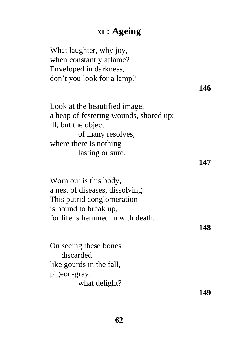# **XI : Ageing**

What laughter, why joy, when constantly aflame? Enveloped in darkness, don't you look for a lamp? Look at the beautified image, a heap of festering wounds, shored up: ill, but the object of many resolves, where there is nothing lasting or sure.

**147**

**146**

| Worn out is this body,            |
|-----------------------------------|
| a nest of diseases, dissolving.   |
| This putrid conglomeration        |
| is bound to break up,             |
| for life is hemmed in with death. |
|                                   |

**148**

On seeing these bones discarded like gourds in the fall, pigeon-gray: what delight?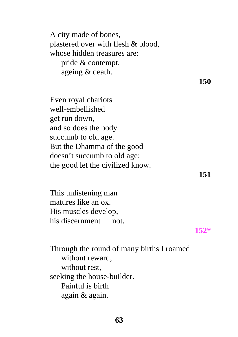A city made of bones, plastered over with flesh & blood, whose hidden treasures are: pride & contempt, ageing & death.

**150**

**151**

**[152\\*](#page-157-0)**

Even royal chariots well-embellished get run down, and so does the body succumb to old age. But the Dhamma of the good doesn't succumb to old age: the good let the civilized know.

This unlistening man matures like an ox. His muscles develop, his discernment not.

Through the round of many births I roamed without reward, without rest, seeking the house-builder. Painful is birth again & again.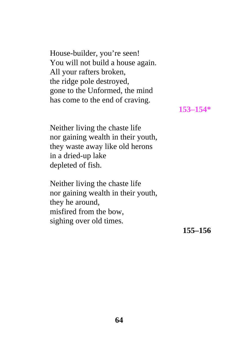House-builder, you're seen! You will not build a house again. All your rafters broken, the ridge pole destroyed, gone to the Unformed, the mind has come to the end of craving.

**[153–154\\*](#page-157-0)**

Neither living the chaste life nor gaining wealth in their youth, they waste away like old herons in a dried-up lake depleted of fish.

Neither living the chaste life nor gaining wealth in their youth, they he around, misfired from the bow, sighing over old times.

**155–156**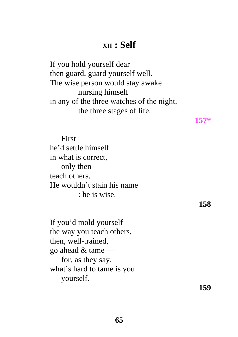### **XII : Self**

If you hold yourself dear then guard, guard yourself well. The wise person would stay awake nursing himself in any of the three watches of the night, the three stages of life.

**[157\\*](#page-158-0)**

First he'd settle himself in what is correct, only then teach others. He wouldn't stain his name : he is wise.

**158**

If you'd mold yourself the way you teach others, then, well-trained, go ahead & tame for, as they say, what's hard to tame is you yourself.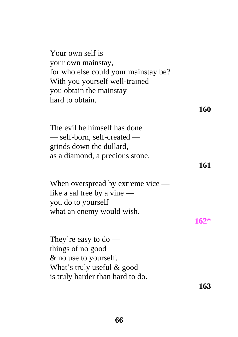Your own self is your own mainstay, for who else could your mainstay be? With you yourself well-trained you obtain the mainstay hard to obtain.

**160**

The evil he himself has done — self-born, self-created grinds down the dullard, as a diamond, a precious stone.

**161**

When overspread by extreme vice like a sal tree by a vine you do to yourself what an enemy would wish.

**[162\\*](#page-158-0)**

They're easy to do things of no good & no use to yourself. What's truly useful & good is truly harder than hard to do.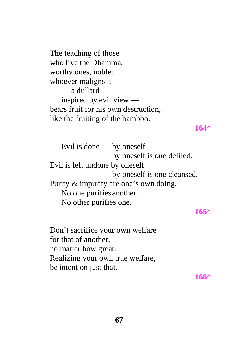The teaching of those who live the Dhamma, worthy ones, noble: whoever maligns it — a dullard inspired by evil view bears fruit for his own destruction, like the fruiting of the bamboo.

**[164\\*](#page-158-0)**

Evil is done by oneself by oneself is one defiled. Evil is left undone by oneself by oneself is one cleansed. Purity & impurity are one's own doing. No one purifies another. No other purifies one.

**[165\\*](#page-158-0)**

Don't sacrifice your own welfare for that of another, no matter how great. Realizing your own true welfare, be intent on just that.

**[166\\*](#page-159-0)**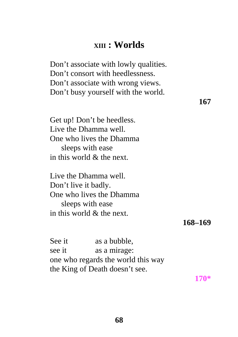### **XIII : Worlds**

Don't associate with lowly qualities. Don't consort with heedlessness. Don't associate with wrong views. Don't busy yourself with the world.

**167**

Get up! Don't be heedless. Live the Dhamma well. One who lives the Dhamma sleeps with ease in this world & the next.

Live the Dhamma well. Don't live it badly. One who lives the Dhamma sleeps with ease in this world & the next.

**168–169**

See it as a bubble, see it as a mirage: one who regards the world this way the King of Death doesn't see.

**[170\\*](#page-159-0)**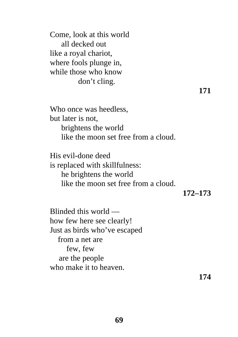Come, look at this world all decked out like a royal chariot, where fools plunge in, while those who know don't cling.

**171**

Who once was heedless, but later is not, brightens the world like the moon set free from a cloud.

His evil-done deed is replaced with skillfulness: he brightens the world like the moon set free from a cloud.

**172–173**

Blinded this world how few here see clearly! Just as birds who've escaped from a net are few, few are the people who make it to heaven.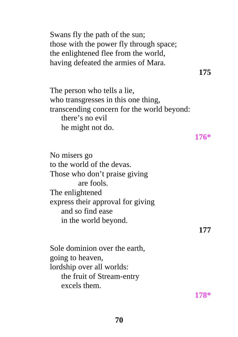Swans fly the path of the sun; those with the power fly through space; the enlightened flee from the world, having defeated the armies of Mara.

**175**

The person who tells a lie, who transgresses in this one thing, transcending concern for the world beyond: there's no evil he might not do.

**[176\\*](#page-160-0)**

No misers go to the world of the devas. Those who don't praise giving are fools. The enlightened express their approval for giving and so find ease in the world beyond.

**177**

Sole dominion over the earth, going to heaven, lordship over all worlds: the fruit of Stream-entry excels them.

**[178\\*](#page-160-0)**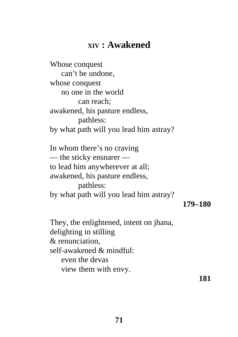# **XIV : Awakened**

Whose conquest can't be undone, whose conquest no one in the world can reach; awakened, his pasture endless, pathless: by what path will you lead him astray?

In whom there's no craving — the sticky ensnarer to lead him anywherever at all; awakened, his pasture endless, pathless: by what path will you lead him astray?

**179–180**

They, the enlightened, intent on jhana, delighting in stilling & renunciation, self-awakened & mindful: even the devas view them with envy.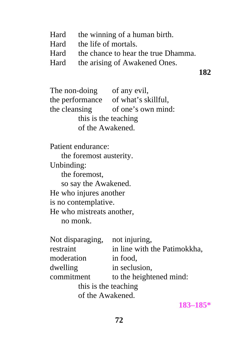- Hard the winning of a human birth.
- Hard the life of mortals.
- Hard the chance to hear the true Dhamma.
- Hard the arising of Awakened Ones.

#### **182**

The non-doing of any evil, the performance of what's skillful, the cleansing of one's own mind: this is the teaching of the Awakened.

Patient endurance:

the foremost austerity.

Unbinding:

the foremost,

so say the Awakened.

He who injures another

is no contemplative.

He who mistreats another,

no monk.

| Not disparaging,     | not injuring,                |  |
|----------------------|------------------------------|--|
| restraint            | in line with the Patimokkha, |  |
| moderation           | in food,                     |  |
| dwelling             | in seclusion,                |  |
| commitment           | to the heightened mind:      |  |
| this is the teaching |                              |  |
| of the Awakened.     |                              |  |
|                      |                              |  |

#### **[183–185\\*](#page-160-0)**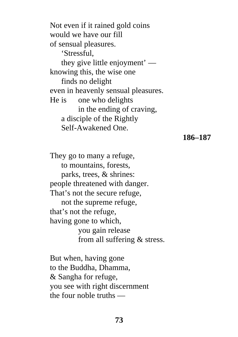Not even if it rained gold coins would we have our fill of sensual pleasures. 'Stressful, they give little enjoyment' knowing this, the wise one finds no delight even in heavenly sensual pleasures. He is one who delights in the ending of craving, a disciple of the Rightly Self-Awakened One.

**186–187**

They go to many a refuge, to mountains, forests, parks, trees, & shrines: people threatened with danger. That's not the secure refuge, not the supreme refuge, that's not the refuge, having gone to which, you gain release from all suffering & stress.

But when, having gone to the Buddha, Dhamma, & Sangha for refuge, you see with right discernment the four noble truths —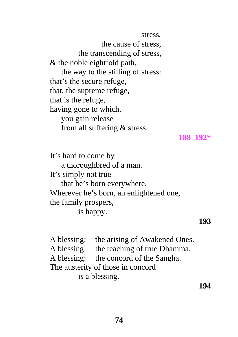stress, the cause of stress, the transcending of stress, & the noble eightfold path, the way to the stilling of stress: that's the secure refuge, that, the supreme refuge, that is the refuge, having gone to which, you gain release from all suffering & stress.

**[188–192\\*](#page-160-0)**

It's hard to come by a thoroughbred of a man. It's simply not true that he's born everywhere. Wherever he's born, an enlightened one, the family prospers, is happy.

**193**

A blessing: the arising of Awakened Ones. A blessing: the teaching of true Dhamma. A blessing: the concord of the Sangha. The austerity of those in concord is a blessing.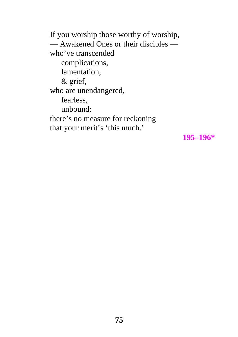If you worship those worthy of worship, — Awakened Ones or their disciples who've transcended complications, lamentation, & grief, who are unendangered, fearless, unbound: there's no measure for reckoning that your merit's 'this much.'

**[195–196\\*](#page-160-0)**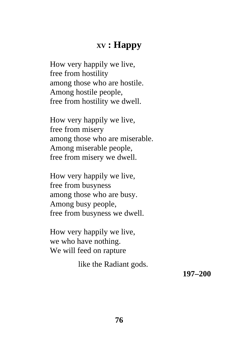# **XV : Happy**

How very happily we live, free from hostility among those who are hostile. Among hostile people, free from hostility we dwell.

How very happily we live, free from misery among those who are miserable. Among miserable people, free from misery we dwell.

How very happily we live, free from busyness among those who are busy. Among busy people, free from busyness we dwell.

How very happily we live, we who have nothing. We will feed on rapture

like the Radiant gods.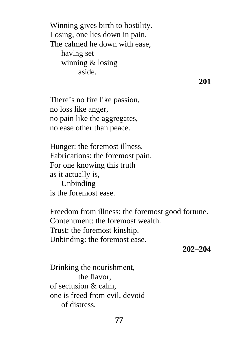Winning gives birth to hostility. Losing, one lies down in pain. The calmed he down with ease, having set winning & losing aside.

**201**

There's no fire like passion, no loss like anger, no pain like the aggregates, no ease other than peace.

Hunger: the foremost illness. Fabrications: the foremost pain. For one knowing this truth as it actually is, Unbinding is the foremost ease.

Freedom from illness: the foremost good fortune. Contentment: the foremost wealth. Trust: the foremost kinship. Unbinding: the foremost ease.

**202–204**

Drinking the nourishment, the flavor, of seclusion & calm, one is freed from evil, devoid of distress,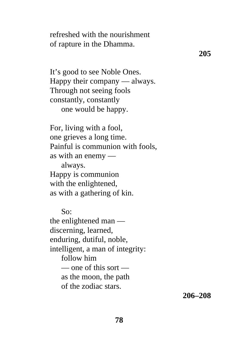refreshed with the nourishment of rapture in the Dhamma.

It's good to see Noble Ones. Happy their company — always. Through not seeing fools constantly, constantly one would be happy.

For, living with a fool, one grieves a long time. Painful is communion with fools, as with an enemy always. Happy is communion with the enlightened, as with a gathering of kin.

So: the enlightened man discerning, learned, enduring, dutiful, noble, intelligent, a man of integrity: follow him — one of this sort as the moon, the path of the zodiac stars.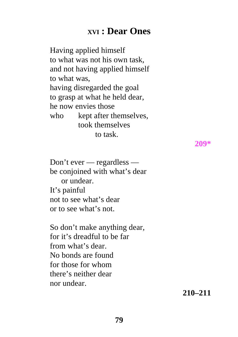## **XVI : Dear Ones**

Having applied himself to what was not his own task, and not having applied himself to what was, having disregarded the goal to grasp at what he held dear, he now envies those who kept after themselves, took themselves to task.

**[209\\*](#page-161-0)**

Don't ever — regardless be conjoined with what's dear or undear. It's painful not to see what's dear or to see what's not.

So don't make anything dear, for it's dreadful to be far from what's dear. No bonds are found for those for whom there's neither dear nor undear.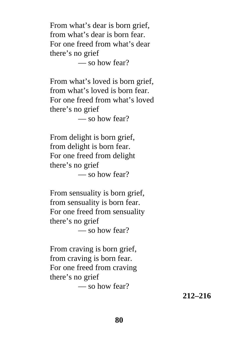From what's dear is born grief, from what's dear is born fear. For one freed from what's dear there's no grief

— so how fear?

From what's loved is born grief, from what's loved is born fear. For one freed from what's loved there's no grief

— so how fear?

From delight is born grief, from delight is born fear. For one freed from delight there's no grief — so how fear?

From sensuality is born grief, from sensuality is born fear. For one freed from sensuality there's no grief

— so how fear?

From craving is born grief, from craving is born fear. For one freed from craving there's no grief

— so how fear?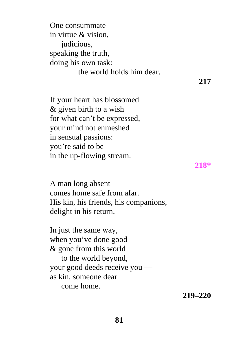One consummate in virtue & vision, judicious, speaking the truth, doing his own task: the world holds him dear.

**217**

If your heart has blossomed & given birth to a wish for what can't be expressed, your mind not enmeshed in sensual passions: you're said to be in the up-flowing stream.

**[218\\*](#page-161-0)**

A man long absent comes home safe from afar. His kin, his friends, his companions, delight in his return.

In just the same way, when you've done good & gone from this world to the world beyond, your good deeds receive you as kin, someone dear come home.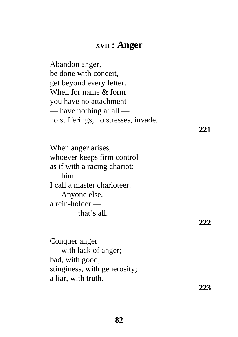#### **XVII : Anger**

Abandon anger, be done with conceit, get beyond every fetter. When for name & form you have no attachment — have nothing at all no sufferings, no stresses, invade.

**221**

When anger arises, whoever keeps firm control as if with a racing chariot: him I call a master charioteer. Anyone else, a rein-holder that's all.

**222**

Conquer anger with lack of anger; bad, with good; stinginess, with generosity; a liar, with truth.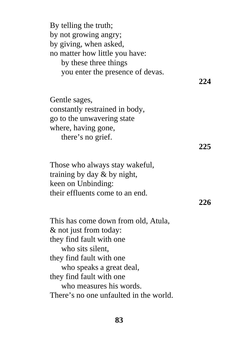By telling the truth; by not growing angry; by giving, when asked, no matter how little you have: by these three things you enter the presence of devas. **224** Gentle sages, constantly restrained in body, go to the unwavering state where, having gone, there's no grief. **225** Those who always stay wakeful, training by day & by night, keen on Unbinding: their effluents come to an end. **226** This has come down from old, Atula, & not just from today: they find fault with one who sits silent. they find fault with one who speaks a great deal, they find fault with one who measures his words. There's no one unfaulted in the world.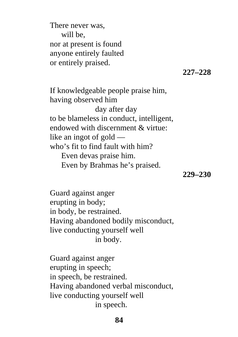There never was, will be, nor at present is found anyone entirely faulted or entirely praised.

**227–228**

If knowledgeable people praise him, having observed him day after day to be blameless in conduct, intelligent, endowed with discernment & virtue: like an ingot of gold who's fit to find fault with him? Even devas praise him. Even by Brahmas he's praised.

**229–230**

Guard against anger erupting in body; in body, be restrained. Having abandoned bodily misconduct, live conducting yourself well in body.

Guard against anger erupting in speech; in speech, be restrained. Having abandoned verbal misconduct, live conducting yourself well in speech.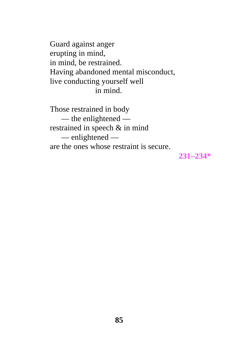Guard against anger erupting in mind, in mind, be restrained. Having abandoned mental misconduct, live conducting yourself well in mind.

Those restrained in body — the enlightened restrained in speech & in mind — enlightened are the ones whose restraint is secure.

**[231–234\\*](#page-161-0)**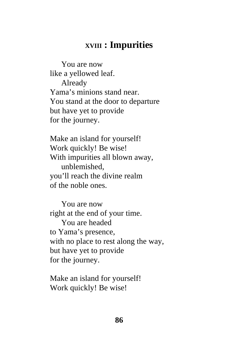# **XVIII : Impurities**

You are now like a yellowed leaf. Already Yama's minions stand near. You stand at the door to departure but have yet to provide for the journey.

Make an island for yourself! Work quickly! Be wise! With impurities all blown away, unblemished, you'll reach the divine realm of the noble ones.

You are now right at the end of your time. You are headed to Yama's presence, with no place to rest along the way, but have yet to provide for the journey.

Make an island for yourself! Work quickly! Be wise!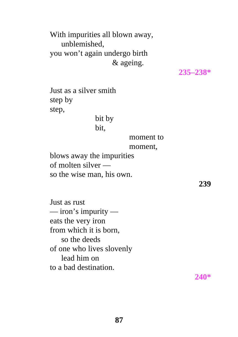With impurities all blown away, unblemished, you won't again undergo birth & ageing.

**[235–238\\*](#page-161-0)**

Just as a silver smith step by step,

#### bit by bit,

moment to

moment,

blows away the impurities of molten silver so the wise man, his own.

**239**

Just as rust — iron's impurity eats the very iron from which it is born, so the deeds of one who lives slovenly lead him on to a bad destination.

**[240\\*](#page-162-0)**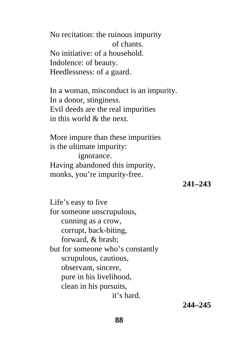No recitation: the ruinous impurity of chants. No initiative: of a household. Indolence: of beauty. Heedlessness: of a guard.

In a woman, misconduct is an impurity. In a donor, stinginess. Evil deeds are the real impurities in this world & the next.

More impure than these impurities is the ultimate impurity: ignorance. Having abandoned this impurity, monks, you're impurity-free.

**241–243**

Life's easy to live for someone unscrupulous, cunning as a crow, corrupt, back-biting, forward, & brash; but for someone who's constantly scrupulous, cautious, observant, sincere, pure in his livelihood, clean in his pursuits, it's hard.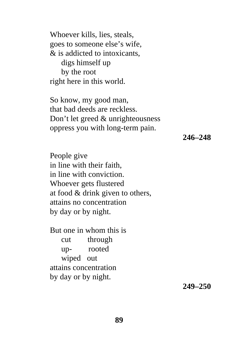Whoever kills, lies, steals, goes to someone else's wife, & is addicted to intoxicants, digs himself up by the root right here in this world.

So know, my good man, that bad deeds are reckless. Don't let greed & unrighteousness oppress you with long-term pain.

**246–248**

People give in line with their faith, in line with conviction. Whoever gets flustered at food & drink given to others, attains no concentration by day or by night.

But one in whom this is cut through up- rooted wiped out attains concentration by day or by night.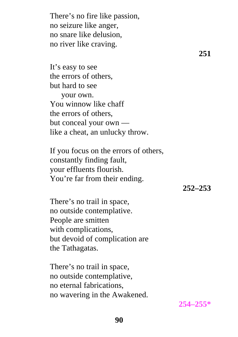There's no fire like passion, no seizure like anger, no snare like delusion, no river like craving.

It's easy to see the errors of others, but hard to see your own. You winnow like chaff the errors of others, but conceal your own like a cheat, an unlucky throw.

If you focus on the errors of others, constantly finding fault, your effluents flourish. You're far from their ending.

**252–253**

**251**

There's no trail in space, no outside contemplative. People are smitten with complications, but devoid of complication are the Tathagatas.

There's no trail in space, no outside contemplative, no eternal fabrications, no wavering in the Awakened.

**[254–255\\*](#page-162-0)**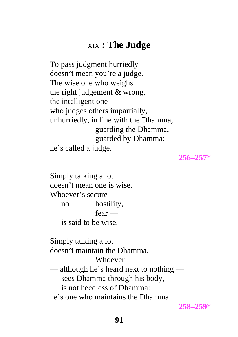# **XIX : The Judge**

To pass judgment hurriedly doesn't mean you're a judge. The wise one who weighs the right judgement & wrong, the intelligent one who judges others impartially, unhurriedly, in line with the Dhamma, guarding the Dhamma, guarded by Dhamma: he's called a judge.

**[256–257\\*](#page-163-0)**

Simply talking a lot doesn't mean one is wise. Whoever's secure no hostility, fear is said to be wise.

Simply talking a lot doesn't maintain the Dhamma. Whoever — although he's heard next to nothing sees Dhamma through his body, is not heedless of Dhamma: he's one who maintains the Dhamma.

**[258–259\\*](#page-163-0)**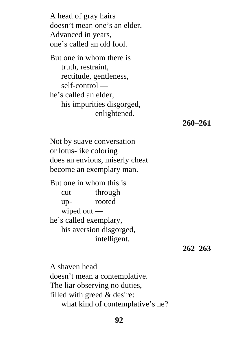A head of gray hairs doesn't mean one's an elder. Advanced in years, one's called an old fool.

But one in whom there is truth, restraint, rectitude, gentleness, self-control he's called an elder, his impurities disgorged, enlightened.

**260–261**

Not by suave conversation or lotus-like coloring does an envious, miserly cheat become an exemplary man.

But one in whom this is cut through up- rooted wiped out he's called exemplary, his aversion disgorged, intelligent.

**262–263**

A shaven head doesn't mean a contemplative. The liar observing no duties, filled with greed & desire: what kind of contemplative's he?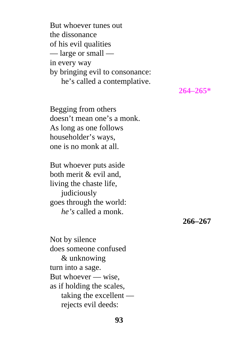But whoever tunes out the dissonance of his evil qualities — large or small in every way by bringing evil to consonance: he's called a contemplative.

Begging from others doesn't mean one's a monk. As long as one follows householder's ways, one is no monk at all.

But whoever puts aside both merit & evil and, living the chaste life, judiciously goes through the world: *he's* called a monk.

**[264–265\\*](#page-163-0)**

**266–267**

Not by silence does someone confused & unknowing turn into a sage. But whoever — wise, as if holding the scales, taking the excellent rejects evil deeds: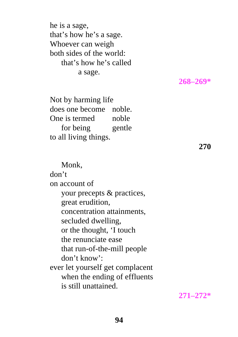he is a sage, that's how he's a sage. Whoever can weigh both sides of the world: that's how he's called a sage.

**[268–269\\*](#page-164-0)**

Not by harming life does one become noble. One is termed noble for being gentle to all living things.

**270**

Monk, don't on account of your precepts & practices, great erudition, concentration attainments, secluded dwelling, or the thought, 'I touch the renunciate ease that run-of-the-mill people don't know': ever let yourself get complacent when the ending of effluents is still unattained.

**[271–272\\*](#page-164-0)**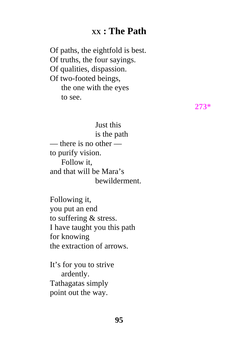## **XX : The Path**

Of paths, the eightfold is best. Of truths, the four sayings. Of qualities, dispassion. Of two-footed beings, the one with the eyes to see.

**[273\\*](#page-165-0)**

Just this is the path — there is no other to purify vision. Follow it, and that will be Mara's bewilderment.

Following it, you put an end to suffering & stress. I have taught you this path for knowing the extraction of arrows.

It's for you to strive ardently. Tathagatas simply point out the way.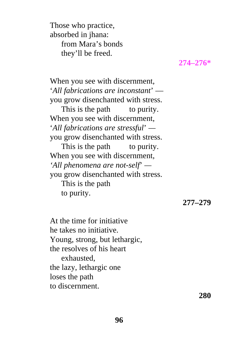Those who practice, absorbed in jhana: from Mara's bonds they'll be freed.

#### **[274–276\\*](#page-165-0)**

When you see with discernment, '*All fabrications are inconstant*' you grow disenchanted with stress.

This is the path to purity. When you see with discernment, '*All fabrications are stressful*'  you grow disenchanted with stress.

This is the path to purity. When you see with discernment, *'All phenomena are not-self*'  you grow disenchanted with stress. This is the path to purity.

**277–279**

At the time for initiative he takes no initiative. Young, strong, but lethargic, the resolves of his heart exhausted, the lazy, lethargic one loses the path to discernment.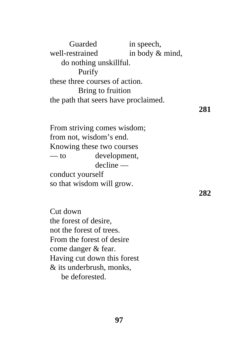Guarded in speech, well-restrained in body & mind, do nothing unskillful. Purify these three courses of action. Bring to fruition the path that seers have proclaimed.

From striving comes wisdom; from not, wisdom's end. Knowing these two courses — to development, decline conduct yourself so that wisdom will grow.

**282**

Cut down the forest of desire, not the forest of trees. From the forest of desire come danger & fear. Having cut down this forest & its underbrush, monks, be deforested.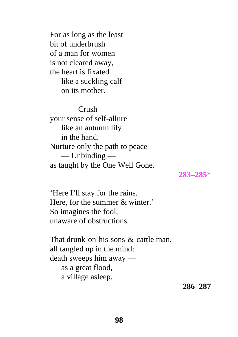For as long as the least bit of underbrush of a man for women is not cleared away, the heart is fixated like a suckling calf on its mother.

Crush your sense of self-allure like an autumn lily in the hand. Nurture only the path to peace — Unbinding as taught by the One Well Gone.

**[283–285\\*](#page-165-0)**

'Here I'll stay for the rains. Here, for the summer & winter.' So imagines the fool, unaware of obstructions.

That drunk-on-his-sons-&-cattle man, all tangled up in the mind: death sweeps him away as a great flood, a village asleep.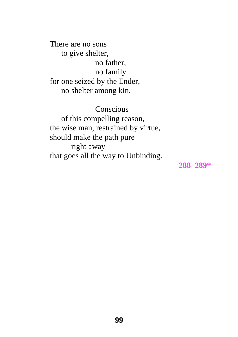There are no sons to give shelter, no father, no family for one seized by the Ender, no shelter among kin.

Conscious of this compelling reason, the wise man, restrained by virtue, should make the path pure — right away that goes all the way to Unbinding.

**[288–289\\*](#page-165-0)**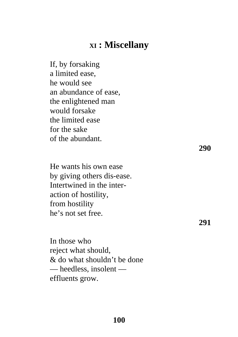# **XI : Miscellany**

If, by forsaking a limited ease, he would see an abundance of ease, the enlightened man would forsake the limited ease for the sake of the abundant.

He wants his own ease by giving others dis-ease. Intertwined in the interaction of hostility, from hostility he's not set free.

In those who reject what should, & do what shouldn't be done — heedless, insolent effluents grow.

**290**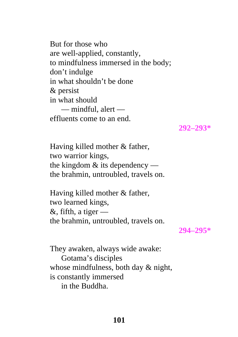But for those who are well-applied, constantly, to mindfulness immersed in the body; don't indulge in what shouldn't be done & persist in what should — mindful, alert effluents come to an end.

**[292–293\\*](#page-165-0)**

Having killed mother & father, two warrior kings, the kingdom & its dependency the brahmin, untroubled, travels on.

Having killed mother & father, two learned kings,  $\&$ , fifth, a tiger the brahmin, untroubled, travels on.

**[294–295\\*](#page-165-0)**

They awaken, always wide awake: Gotama's disciples whose mindfulness, both day  $\&$  night, is constantly immersed in the Buddha.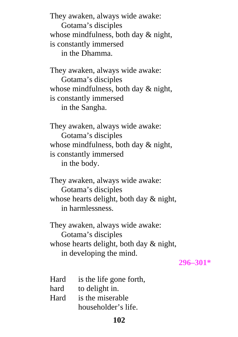They awaken, always wide awake: Gotama's disciples whose mindfulness, both day  $&$  night, is constantly immersed in the Dhamma.

They awaken, always wide awake: Gotama's disciples whose mindfulness, both day  $&$  night, is constantly immersed in the Sangha.

They awaken, always wide awake: Gotama's disciples whose mindfulness, both day  $\&$  night, is constantly immersed in the body.

They awaken, always wide awake: Gotama's disciples whose hearts delight, both day  $&$  night, in harmlessness.

They awaken, always wide awake: Gotama's disciples whose hearts delight, both day  $\&$  night, in developing the mind.

**[296–301\\*](#page-166-0)**

Hard is the life gone forth, hard to delight in. Hard is the miserable householder's life.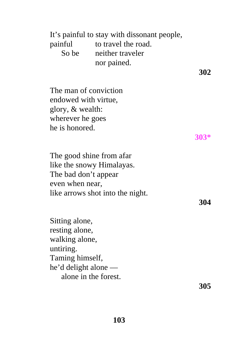It's painful to stay with dissonant people, painful to travel the road. So be neither traveler nor pained.

**302**

The man of conviction endowed with virtue, glory, & wealth: wherever he goes he is honored.

**[303\\*](#page-167-0)**

The good shine from afar like the snowy Himalayas. The bad don't appear even when near, like arrows shot into the night.

**304**

Sitting alone, resting alone, walking alone, untiring. Taming himself, he'd delight alone alone in the forest.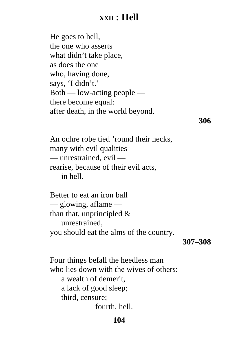### **XXII : Hell**

He goes to hell, the one who asserts what didn't take place, as does the one who, having done, says, 'I didn't.' Both — low-acting people there become equal: after death, in the world beyond.

**306**

An ochre robe tied 'round their necks, many with evil qualities — unrestrained, evil rearise, because of their evil acts, in hell.

Better to eat an iron ball — glowing, aflame than that, unprincipled  $\&$ unrestrained, you should eat the alms of the country.

**307–308**

Four things befall the heedless man who lies down with the wives of others: a wealth of demerit, a lack of good sleep; third, censure; fourth, hell.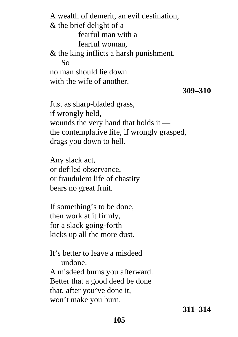A wealth of demerit, an evil destination, & the brief delight of a fearful man with a fearful woman, & the king inflicts a harsh punishment.  $S_{\Omega}$ no man should lie down with the wife of another.

**309–310**

Just as sharp-bladed grass, if wrongly held, wounds the very hand that holds it the contemplative life, if wrongly grasped, drags you down to hell.

Any slack act, or defiled observance, or fraudulent life of chastity bears no great fruit.

If something's to be done, then work at it firmly, for a slack going-forth kicks up all the more dust.

It's better to leave a misdeed undone. A misdeed burns you afterward. Better that a good deed be done that, after you've done it, won't make you burn.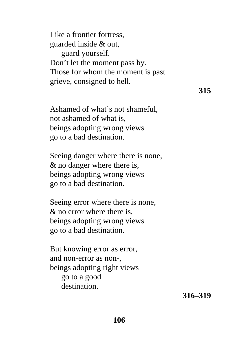Like a frontier fortress, guarded inside & out, guard yourself. Don't let the moment pass by. Those for whom the moment is past grieve, consigned to hell.

**315**

Ashamed of what's not shameful, not ashamed of what is, beings adopting wrong views go to a bad destination.

Seeing danger where there is none, & no danger where there is, beings adopting wrong views go to a bad destination.

Seeing error where there is none, & no error where there is, beings adopting wrong views go to a bad destination.

But knowing error as error, and non-error as non-, beings adopting right views go to a good destination.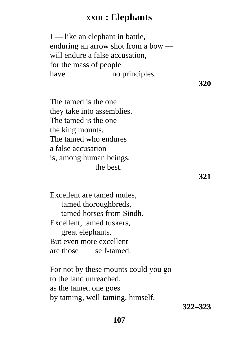# **XXIII : Elephants**

I — like an elephant in battle, enduring an arrow shot from a bow will endure a false accusation, for the mass of people have no principles.

**320**

**321**

The tamed is the one they take into assemblies. The tamed is the one the king mounts. The tamed who endures a false accusation is, among human beings, the best.

Excellent are tamed mules, tamed thoroughbreds, tamed horses from Sindh. Excellent, tamed tuskers, great elephants. But even more excellent are those self-tamed.

For not by these mounts could you go to the land unreached, as the tamed one goes by taming, well-taming, himself.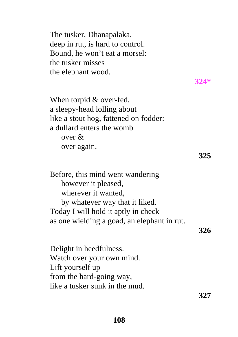The tusker, Dhanapalaka, deep in rut, is hard to control. Bound, he won't eat a morsel: the tusker misses the elephant wood.

**[324\\*](#page-167-0)**

**325**

When torpid & over-fed, a sleepy-head lolling about like a stout hog, fattened on fodder: a dullard enters the womb over & over again.

Before, this mind went wandering however it pleased, wherever it wanted, by whatever way that it liked. Today I will hold it aptly in check as one wielding a goad, an elephant in rut. **326** Delight in heedfulness. Watch over your own mind. Lift yourself up

from the hard-going way, like a tusker sunk in the mud.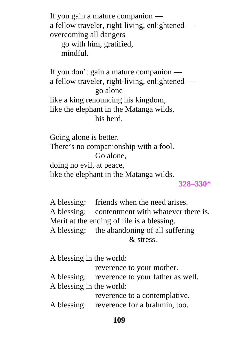If you gain a mature companion a fellow traveler, right-living, enlightened overcoming all dangers go with him, gratified, mindful.

If you don't gain a mature companion a fellow traveler, right-living, enlightened go alone like a king renouncing his kingdom, like the elephant in the Matanga wilds, his herd.

Going alone is better. There's no companionship with a fool. Go alone, doing no evil, at peace, like the elephant in the Matanga wilds.

**[328–330\\*](#page-167-0)**

A blessing: friends when the need arises. A blessing: contentment with whatever there is. Merit at the ending of life is a blessing. A blessing: the abandoning of all suffering & stress.

A blessing in the world: reverence to your mother. A blessing: reverence to your father as well. A blessing in the world: reverence to a contemplative. A blessing: reverence for a brahmin, too.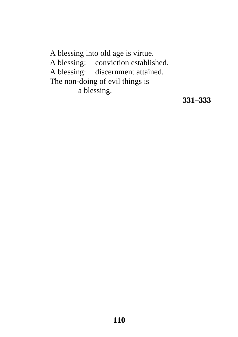A blessing into old age is virtue. A blessing: conviction established. A blessing: discernment attained. The non-doing of evil things is a blessing.

**331–333**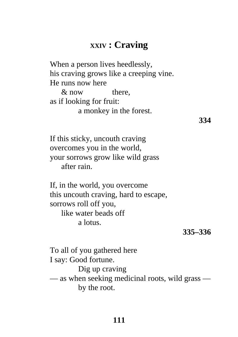## **XXIV : Craving**

When a person lives heedlessly, his craving grows like a creeping vine. He runs now here & now there, as if looking for fruit: a monkey in the forest.

If this sticky, uncouth craving overcomes you in the world, your sorrows grow like wild grass after rain.

If, in the world, you overcome this uncouth craving, hard to escape, sorrows roll off you, like water beads off a lotus.

**335–336**

To all of you gathered here I say: Good fortune. Dig up craving — as when seeking medicinal roots, wild grass by the root.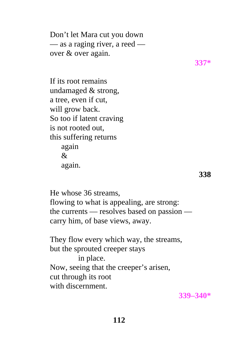Don't let Mara cut you down — as a raging river, a reed over & over again.

**[337\\*](#page-167-0)**

If its root remains undamaged & strong, a tree, even if cut, will grow back. So too if latent craving is not rooted out, this suffering returns again  $\mathcal{R}$ again.

**338**

He whose 36 streams, flowing to what is appealing, are strong: the currents — resolves based on passion carry him, of base views, away.

They flow every which way, the streams, but the sprouted creeper stays in place. Now, seeing that the creeper's arisen, cut through its root with discernment.

**[339–340\\*](#page-168-0)**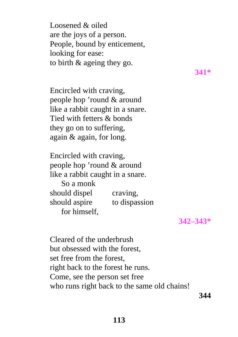Loosened & oiled are the joys of a person. People, bound by enticement, looking for ease: to birth & ageing they go.

**[341\\*](#page-168-0)**

Encircled with craving, people hop 'round & around like a rabbit caught in a snare. Tied with fetters & bonds they go on to suffering, again & again, for long.

Encircled with craving, people hop 'round & around like a rabbit caught in a snare. So a monk should dispel craving, should aspire to dispassion for himself,

**[342–343\\*](#page-168-0)**

Cleared of the underbrush but obsessed with the forest, set free from the forest, right back to the forest he runs. Come, see the person set free who runs right back to the same old chains!

**344**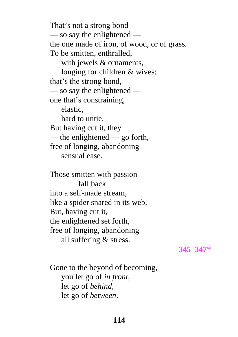<span id="page-113-0"></span>That's not a strong bond — so say the enlightened the one made of iron, of wood, or of grass. To be smitten, enthralled, with jewels & ornaments, longing for children & wives: that's the strong bond, — so say the enlightened one that's constraining, elastic, hard to untie. But having cut it, they — the enlightened — go forth, free of longing, abandoning sensual ease.

Those smitten with passion fall back into a self-made stream, like a spider snared in its web. But, having cut it, the enlightened set forth, free of longing, abandoning all suffering & stress.

**[345–347\\*](#page-168-0)**

Gone to the beyond of becoming, you let go of *in front*, let go of *behind*, let go of *between*.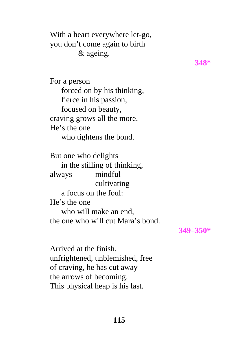With a heart everywhere let-go, you don't come again to birth & ageing.

**[348\\*](#page-168-0)**

For a person forced on by his thinking, fierce in his passion, focused on beauty, craving grows all the more. He's the one who tightens the bond.

But one who delights in the stilling of thinking, always mindful cultivating a focus on the foul: He's the one who will make an end, the one who will cut Mara's bond.

**[349–350\\*](#page-169-0)**

Arrived at the finish, unfrightened, unblemished, free of craving, he has cut away the arrows of becoming. This physical heap is his last.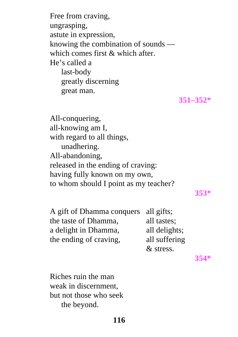Free from craving, ungrasping, astute in expression, knowing the combination of sounds which comes first & which after. He's called a last-body greatly discerning great man.

**[351–352\\*](#page-169-0)**

All-conquering, all-knowing am I, with regard to all things, unadhering. All-abandoning, released in the ending of craving: having fully known on my own, to whom should I point as my teacher?

**[353\\*](#page-169-0)**

| A gift of Dhamma conquers all gifts; |               |
|--------------------------------------|---------------|
| the taste of Dhamma,                 | all tastes;   |
| a delight in Dhamma,                 | all delights; |
| the ending of craving,               | all suffering |
|                                      | $\&$ stress.  |

**[354\\*](#page-169-0)**

Riches ruin the man weak in discernment, but not those who seek the beyond.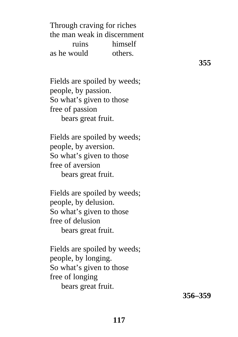Through craving for riches the man weak in discernment ruins himself as he would others.

Fields are spoiled by weeds; people, by passion. So what's given to those free of passion bears great fruit.

Fields are spoiled by weeds; people, by aversion. So what's given to those free of aversion bears great fruit.

Fields are spoiled by weeds; people, by delusion. So what's given to those free of delusion bears great fruit.

Fields are spoiled by weeds; people, by longing. So what's given to those free of longing bears great fruit.

**356–359**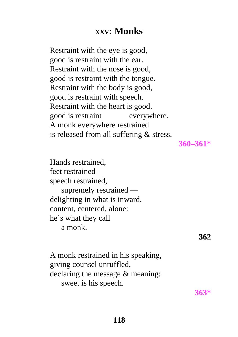## **XXV: Monks**

Restraint with the eye is good, good is restraint with the ear. Restraint with the nose is good, good is restraint with the tongue. Restraint with the body is good, good is restraint with speech. Restraint with the heart is good, good is restraint everywhere. A monk everywhere restrained is released from all suffering & stress.

**[360–361\\*](#page-169-0)**

Hands restrained, feet restrained speech restrained, supremely restrained delighting in what is inward, content, centered, alone: he's what they call a monk.

**362**

A monk restrained in his speaking, giving counsel unruffled, declaring the message & meaning: sweet is his speech.

**[363\\*](#page-170-0)**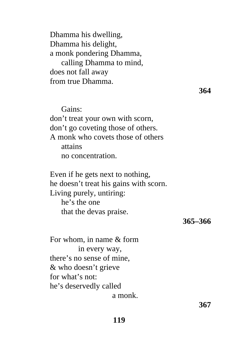Dhamma his dwelling, Dhamma his delight, a monk pondering Dhamma, calling Dhamma to mind, does not fall away from true Dhamma.

**364**

Gains: don't treat your own with scorn, don't go coveting those of others. A monk who covets those of others attains no concentration.

Even if he gets next to nothing, he doesn't treat his gains with scorn. Living purely, untiring: he's the one that the devas praise.

**365–366**

For whom, in name & form in every way, there's no sense of mine, & who doesn't grieve for what's not: he's deservedly called a monk.

**367**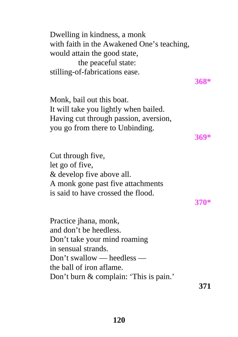| Dwelling in kindness, a monk<br>with faith in the Awakened One's teaching,<br>would attain the good state,<br>the peaceful state:<br>stilling-of-fabrications ease. |      |
|---------------------------------------------------------------------------------------------------------------------------------------------------------------------|------|
|                                                                                                                                                                     | 368  |
| Monk, bail out this boat.                                                                                                                                           |      |
| It will take you lightly when bailed.                                                                                                                               |      |
| Having cut through passion, aversion,                                                                                                                               |      |
| you go from there to Unbinding.                                                                                                                                     |      |
|                                                                                                                                                                     | 369* |
| Cut through five,                                                                                                                                                   |      |
| let go of five,                                                                                                                                                     |      |
| & develop five above all.                                                                                                                                           |      |
| A monk gone past five attachments                                                                                                                                   |      |
| is said to have crossed the flood.                                                                                                                                  |      |
|                                                                                                                                                                     |      |
|                                                                                                                                                                     |      |
| Practice jhana, monk,                                                                                                                                               |      |
| and don't be heedless.                                                                                                                                              |      |
| Don't take your mind roaming                                                                                                                                        |      |
| in sensual strands.                                                                                                                                                 |      |
| Don't swallow — heedless —                                                                                                                                          |      |
| the ball of iron aflame.                                                                                                                                            |      |
| Don't burn & complain: 'This is pain.'                                                                                                                              |      |
|                                                                                                                                                                     | 371  |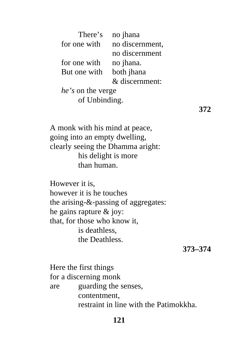| There's                  | no jhana        |
|--------------------------|-----------------|
| for one with             | no discernment, |
|                          | no discernment  |
| for one with             | no jhana.       |
| But one with             | both jhana      |
|                          | & discernment:  |
| <i>he's</i> on the verge |                 |
| of Unbinding.            |                 |

A monk with his mind at peace, going into an empty dwelling, clearly seeing the Dhamma aright: his delight is more than human.

However it is, however it is he touches the arising-&-passing of aggregates: he gains rapture & joy: that, for those who know it, is deathless, the Deathless.

**373–374**

Here the first things for a discerning monk are guarding the senses, contentment, restraint in line with the Patimokkha.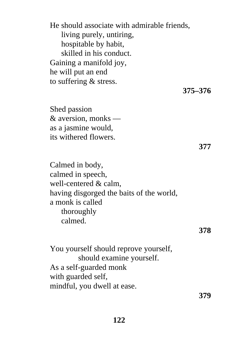He should associate with admirable friends, living purely, untiring, hospitable by habit, skilled in his conduct. Gaining a manifold joy, he will put an end to suffering & stress.

**375–376**

Shed passion & aversion, monks as a jasmine would, its withered flowers.

**377**

Calmed in body, calmed in speech, well-centered & calm, having disgorged the baits of the world, a monk is called thoroughly calmed.

**378**

You yourself should reprove yourself, should examine yourself. As a self-guarded monk with guarded self, mindful, you dwell at ease.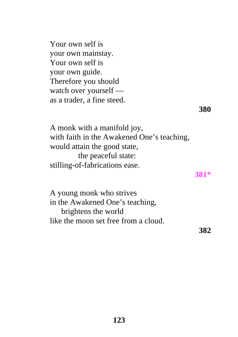Your own self is your own mainstay. Your own self is your own guide. Therefore you should watch over yourself as a trader, a fine steed.

**380**

A monk with a manifold joy, with faith in the Awakened One's teaching, would attain the good state, the peaceful state: stilling-of-fabrications ease.

**[381\\*](#page-170-0)**

A young monk who strives in the Awakened One's teaching, brightens the world like the moon set free from a cloud.

**382**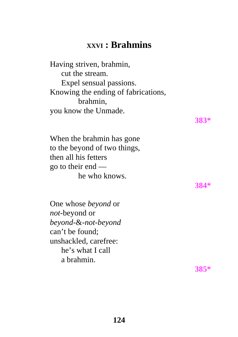## **XXVI : Brahmins**

Having striven, brahmin, cut the stream. Expel sensual passions. Knowing the ending of fabrications, brahmin, you know the Unmade.

**[383\\*](#page-170-0)**

When the brahmin has gone to the beyond of two things, then all his fetters go to their end he who knows.

**[384\\*](#page-170-0)**

One whose *beyond* or *not-*beyond or *beyond-*&*-not-beyond* can't be found; unshackled, carefree: he's what I call a brahmin.

**[385\\*](#page-170-0)**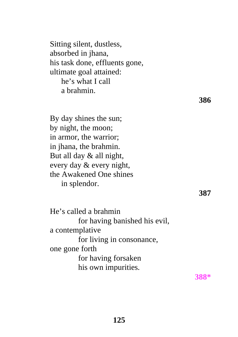Sitting silent, dustless, absorbed in jhana, his task done, effluents gone, ultimate goal attained: he's what I call a brahmin.

**386**

By day shines the sun; by night, the moon; in armor, the warrior; in jhana, the brahmin. But all day & all night, every day & every night, the Awakened One shines in splendor.

**387**

He's called a brahmin for having banished his evil, a contemplative for living in consonance, one gone forth for having forsaken his own impurities.

**[388\\*](#page-171-0)**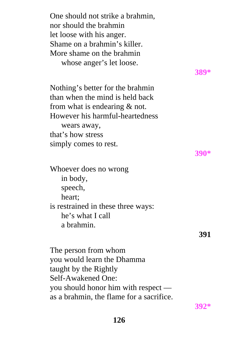One should not strike a brahmin, nor should the brahmin let loose with his anger. Shame on a brahmin's killer. More shame on the brahmin whose anger's let loose.

**[389\\*](#page-171-0)**

Nothing's better for the brahmin than when the mind is held back from what is endearing & not. However his harmful-heartedness wears away, that's how stress simply comes to rest.

Whoever does no wrong in body, speech, heart; is restrained in these three ways: he's what I call a brahmin.

**[390\\*](#page-172-0)**

**391**

The person from whom you would learn the Dhamma taught by the Rightly Self-Awakened One: you should honor him with respect as a brahmin, the flame for a sacrifice.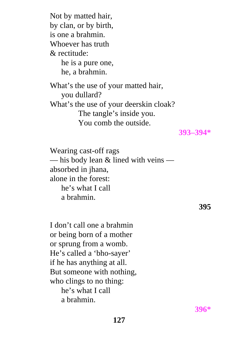<span id="page-126-0"></span>Not by matted hair, by clan, or by birth, is one a brahmin. Whoever has truth & rectitude: he is a pure one, he, a brahmin. What's the use of your matted hair, you dullard? What's the use of your deerskin cloak? The tangle's inside you. You comb the outside.

**[393–394\\*](#page-172-0)**

Wearing cast-off rags — his body lean & lined with veins absorbed in jhana, alone in the forest: he's what I call a brahmin.

**395**

I don't call one a brahmin or being born of a mother or sprung from a womb. He's called a 'bho-sayer' if he has anything at all. But someone with nothing, who clings to no thing: he's what I call a brahmin.

**[396\\*](#page-172-0)**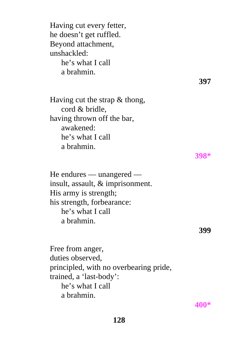Having cut every fetter, he doesn't get ruffled. Beyond attachment, unshackled: he's what I call a brahmin.

Having cut the strap & thong, cord & bridle, having thrown off the bar, awakened: he's what I call a brahmin.

He endures — unangered insult, assault, & imprisonment. His army is strength; his strength, forbearance: he's what I call a brahmin.

**399**

**397**

**[398\\*](#page-172-0)**

Free from anger, duties observed, principled, with no overbearing pride, trained, a 'last-body': he's what I call a brahmin.

**[400\\*](#page-173-0)**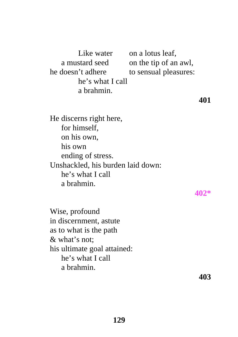Like water on a lotus leaf, a mustard seed on the tip of an awl, he doesn't adhere to sensual pleasures: he's what I call a brahmin.

**401**

He discerns right here, for himself, on his own, his own ending of stress. Unshackled, his burden laid down: he's what I call a brahmin.

**[402\\*](#page-173-0)**

Wise, profound in discernment, astute as to what is the path & what's not; his ultimate goal attained: he's what I call a brahmin.

**403**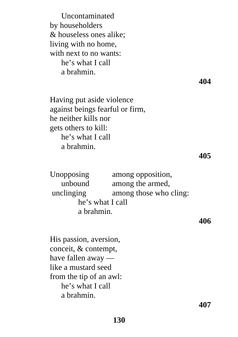Uncontaminated by householders & houseless ones alike; living with no home, with next to no wants: he's what I call a brahmin.

**404**

Having put aside violence against beings fearful or firm, he neither kills nor gets others to kill: he's what I call a brahmin.

**405**

| Unopposing       | among opposition,      |
|------------------|------------------------|
| unbound          | among the armed,       |
| unclinging       | among those who cling: |
| he's what I call |                        |
| a brahmin.       |                        |

**406**

His passion, aversion, conceit, & contempt, have fallen away like a mustard seed from the tip of an awl: he's what I call a brahmin.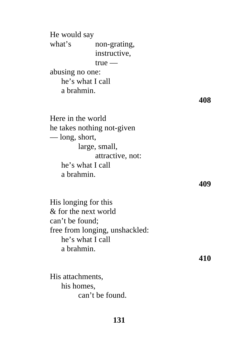He would say what's non-grating, instructive, true abusing no one: he's what I call a brahmin.

Here in the world he takes nothing not-given — long, short, large, small, attractive, not: he's what I call a brahmin.

**409**

**408**

His longing for this & for the next world can't be found; free from longing, unshackled: he's what I call a brahmin.

**410**

His attachments, his homes, can't be found.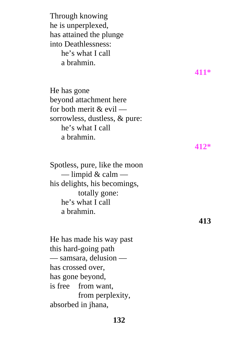Through knowing he is unperplexed, has attained the plunge into Deathlessness: he's what I call a brahmin.

**[411\\*](#page-173-0)**

He has gone beyond attachment here for both merit & evil sorrowless, dustless, & pure: he's what I call a brahmin.

Spotless, pure, like the moon — limpid  $&$  calm his delights, his becomings, totally gone: he's what I call a brahmin.

**[412\\*](#page-173-0)**

**413**

He has made his way past this hard-going path — samsara, delusion has crossed over, has gone beyond, is free from want, from perplexity, absorbed in jhana,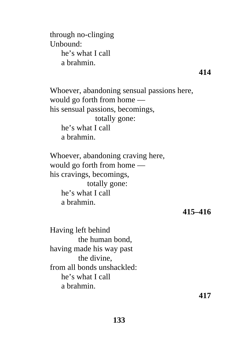through no-clinging Unbound: he's what I call a brahmin.

**414**

Whoever, abandoning sensual passions here, would go forth from home his sensual passions, becomings, totally gone: he's what I call a brahmin.

Whoever, abandoning craving here, would go forth from home his cravings, becomings, totally gone: he's what I call a brahmin.

**415–416**

Having left behind the human bond, having made his way past the divine, from all bonds unshackled: he's what I call a brahmin.

**417**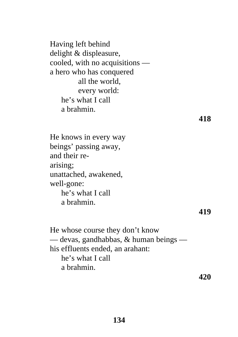Having left behind delight & displeasure, cooled, with no acquisitions a hero who has conquered all the world, every world: he's what I call a brahmin.

**418**

He knows in every way beings' passing away, and their rearising; unattached, awakened, well-gone: he's what I call a brahmin.

**419**

He whose course they don't know — devas, gandhabbas, & human beings his effluents ended, an arahant: he's what I call a brahmin.

**420**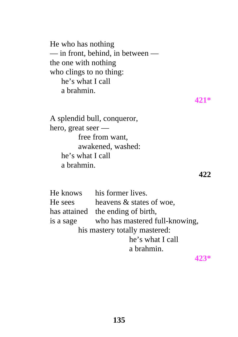He who has nothing — in front, behind, in between the one with nothing who clings to no thing: he's what I call a brahmin.

**[421\\*](#page-173-0)**

A splendid bull, conqueror, hero, great seer free from want, awakened, washed: he's what I call a brahmin.

**422**

He knows his former lives. He sees heavens & states of woe, has attained the ending of birth, is a sage who has mastered full-knowing, his mastery totally mastered: he's what I call a brahmin.

**[423\\*](#page-173-0)**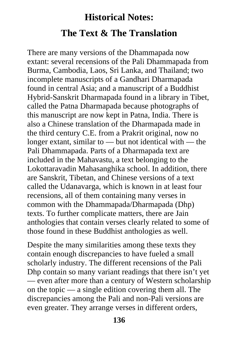## **Historical Notes: The Text & The Translation**

There are many versions of the Dhammapada now extant: several recensions of the Pali Dhammapada from Burma, Cambodia, Laos, Sri Lanka, and Thailand; two incomplete manuscripts of a Gandhari Dharmapada found in central Asia; and a manuscript of a Buddhist Hybrid-Sanskrit Dharmapada found in a library in Tibet, called the Patna Dharmapada because photographs of this manuscript are now kept in Patna, India. There is also a Chinese translation of the Dharmapada made in the third century C.E. from a Prakrit original, now no longer extant, similar to — but not identical with — the Pali Dhammapada. Parts of a Dharmapada text are included in the Mahavastu, a text belonging to the Lokottaravadin Mahasanghika school. In addition, there are Sanskrit, Tibetan, and Chinese versions of a text called the Udanavarga, which is known in at least four recensions, all of them containing many verses in common with the Dhammapada/Dharmapada (Dhp) texts. To further complicate matters, there are Jain anthologies that contain verses clearly related to some of those found in these Buddhist anthologies as well.

Despite the many similarities among these texts they contain enough discrepancies to have fueled a small scholarly industry. The different recensions of the Pali Dhp contain so many variant readings that there isn't yet — even after more than a century of Western scholarship on the topic — a single edition covering them all. The discrepancies among the Pali and non-Pali versions are even greater. They arrange verses in different orders,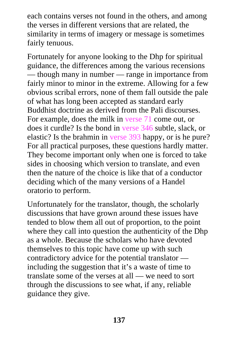each contains verses not found in the others, and among the verses in different versions that are related, the similarity in terms of imagery or message is sometimes fairly tenuous.

Fortunately for anyone looking to the Dhp for spiritual guidance, the differences among the various recensions — though many in number — range in importance from fairly minor to minor in the extreme. Allowing for a few obvious scribal errors, none of them fall outside the pale of what has long been accepted as standard early Buddhist doctrine as derived from the Pali discourses. For example, does the milk in [verse 71](#page-40-0) come out, or does it curdle? Is the bond in [verse 346](#page-113-0) subtle, slack, or elastic? Is the brahmin in [verse 393](#page-126-0) happy, or is he pure? For all practical purposes, these questions hardly matter. They become important only when one is forced to take sides in choosing which version to translate, and even then the nature of the choice is like that of a conductor deciding which of the many versions of a Handel oratorio to perform.

Unfortunately for the translator, though, the scholarly discussions that have grown around these issues have tended to blow them all out of proportion, to the point where they call into question the authenticity of the Dhp as a whole. Because the scholars who have devoted themselves to this topic have come up with such contradictory advice for the potential translator including the suggestion that it's a waste of time to translate some of the verses at all — we need to sort through the discussions to see what, if any, reliable guidance they give.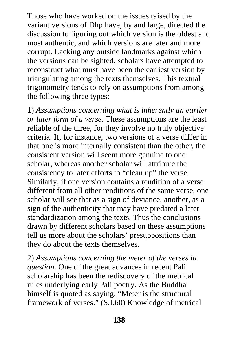Those who have worked on the issues raised by the variant versions of Dhp have, by and large, directed the discussion to figuring out which version is the oldest and most authentic, and which versions are later and more corrupt. Lacking any outside landmarks against which the versions can be sighted, scholars have attempted to reconstruct what must have been the earliest version by triangulating among the texts themselves. This textual trigonometry tends to rely on assumptions from among the following three types:

1) *Assumptions concerning what is inherently an earlier or later form of a verse.* These assumptions are the least reliable of the three, for they involve no truly objective criteria. If, for instance, two versions of a verse differ in that one is more internally consistent than the other, the consistent version will seem more genuine to one scholar, whereas another scholar will attribute the consistency to later efforts to "clean up" the verse. Similarly, if one version contains a rendition of a verse different from all other renditions of the same verse, one scholar will see that as a sign of deviance; another, as a sign of the authenticity that may have predated a later standardization among the texts. Thus the conclusions drawn by different scholars based on these assumptions tell us more about the scholars' presuppositions than they do about the texts themselves.

2) *Assumptions concerning the meter of the verses in question.* One of the great advances in recent Pali scholarship has been the rediscovery of the metrical rules underlying early Pali poetry. As the Buddha himself is quoted as saying, "Meter is the structural framework of verses." (S.I.60) Knowledge of metrical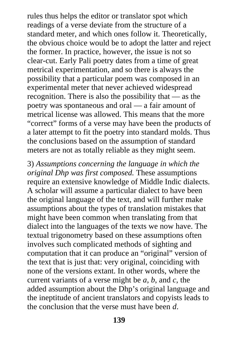rules thus helps the editor or translator spot which readings of a verse deviate from the structure of a standard meter, and which ones follow it. Theoretically, the obvious choice would be to adopt the latter and reject the former. In practice, however, the issue is not so clear-cut. Early Pali poetry dates from a time of great metrical experimentation, and so there is always the possibility that a particular poem was composed in an experimental meter that never achieved widespread recognition. There is also the possibility that — as the poetry was spontaneous and oral — a fair amount of metrical license was allowed. This means that the more "correct" forms of a verse may have been the products of a later attempt to fit the poetry into standard molds. Thus the conclusions based on the assumption of standard meters are not as totally reliable as they might seem.

3) *Assumptions concerning the language in which the original Dhp was first composed.* These assumptions require an extensive knowledge of Middle Indic dialects. A scholar will assume a particular dialect to have been the original language of the text, and will further make assumptions about the types of translation mistakes that might have been common when translating from that dialect into the languages of the texts we now have. The textual trigonometry based on these assumptions often involves such complicated methods of sighting and computation that it can produce an "original" version of the text that is just that: very original, coinciding with none of the versions extant. In other words, where the current variants of a verse might be *a*, *b*, and *c*, the added assumption about the Dhp's original language and the ineptitude of ancient translators and copyists leads to the conclusion that the verse must have been *d*.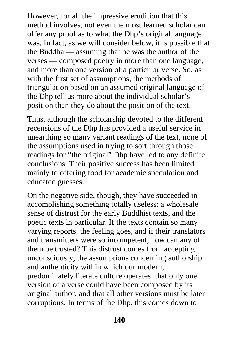However, for all the impressive erudition that this method involves, not even the most learned scholar can offer any proof as to what the Dhp's original language was. In fact, as we will consider below, it is possible that the Buddha — assuming that he was the author of the verses — composed poetry in more than one language, and more than one version of a particular verse. So, as with the first set of assumptions, the methods of triangulation based on an assumed original language of the Dhp tell us more about the individual scholar's position than they do about the position of the text.

Thus, although the scholarship devoted to the different recensions of the Dhp has provided a useful service in unearthing so many variant readings of the text, none of the assumptions used in trying to sort through those readings for "the original" Dhp have led to any definite conclusions. Their positive success has been limited mainly to offering food for academic speculation and educated guesses.

On the negative side, though, they have succeeded in accomplishing something totally useless: a wholesale sense of distrust for the early Buddhist texts, and the poetic texts in particular. If the texts contain so many varying reports, the feeling goes, and if their translators and transmitters were so incompetent, how can any of them be trusted? This distrust comes from accepting. unconsciously, the assumptions concerning authorship and authenticity within which our modern, predominately literate culture operates: that only one version of a verse could have been composed by its original author, and that all other versions must be later corruptions. In terms of the Dhp, this comes down to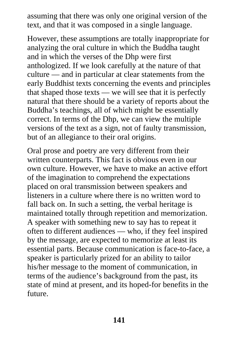assuming that there was only one original version of the text, and that it was composed in a single language.

However, these assumptions are totally inappropriate for analyzing the oral culture in which the Buddha taught and in which the verses of the Dhp were first anthologized. If we look carefully at the nature of that culture — and in particular at clear statements from the early Buddhist texts concerning the events and principles that shaped those texts — we will see that it is perfectly natural that there should be a variety of reports about the Buddha's teachings, all of which might be essentially correct. In terms of the Dhp, we can view the multiple versions of the text as a sign, not of faulty transmission, but of an allegiance to their oral origins.

Oral prose and poetry are very different from their written counterparts. This fact is obvious even in our own culture. However, we have to make an active effort of the imagination to comprehend the expectations placed on oral transmission between speakers and listeners in a culture where there is no written word to fall back on. In such a setting, the verbal heritage is maintained totally through repetition and memorization. A speaker with something new to say has to repeat it often to different audiences — who, if they feel inspired by the message, are expected to memorize at least its essential parts. Because communication is face-to-face, a speaker is particularly prized for an ability to tailor his/her message to the moment of communication, in terms of the audience's background from the past, its state of mind at present, and its hoped-for benefits in the future.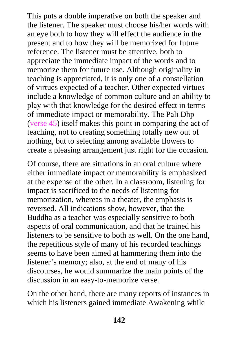This puts a double imperative on both the speaker and the listener. The speaker must choose his/her words with an eye both to how they will effect the audience in the present and to how they will be memorized for future reference. The listener must be attentive, both to appreciate the immediate impact of the words and to memorize them for future use. Although originality in teaching is appreciated, it is only one of a constellation of virtues expected of a teacher. Other expected virtues include a knowledge of common culture and an ability to play with that knowledge for the desired effect in terms of immediate impact or memorability. The Pali Dhp [\(verse 45\)](#page-34-0) itself makes this point in comparing the act of teaching, not to creating something totally new out of nothing, but to selecting among available flowers to create a pleasing arrangement just right for the occasion.

Of course, there are situations in an oral culture where either immediate impact or memorability is emphasized at the expense of the other. In a classroom, listening for impact is sacrificed to the needs of listening for memorization, whereas in a theater, the emphasis is reversed. All indications show, however, that the Buddha as a teacher was especially sensitive to both aspects of oral communication, and that he trained his listeners to be sensitive to both as well. On the one hand, the repetitious style of many of his recorded teachings seems to have been aimed at hammering them into the listener's memory; also, at the end of many of his discourses, he would summarize the main points of the discussion in an easy-to-memorize verse.

On the other hand, there are many reports of instances in which his listeners gained immediate Awakening while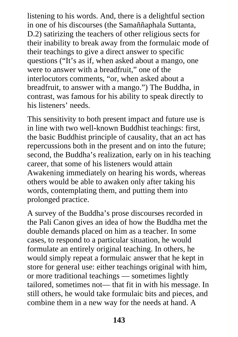listening to his words. And, there is a delightful section in one of his discourses (the Samaññaphala Suttanta, D.2) satirizing the teachers of other religious sects for their inability to break away from the formulaic mode of their teachings to give a direct answer to specific questions ("It's as if, when asked about a mango, one were to answer with a breadfruit," one of the interlocutors comments, "or, when asked about a breadfruit, to answer with a mango.") The Buddha, in contrast, was famous for his ability to speak directly to his listeners' needs.

This sensitivity to both present impact and future use is in line with two well-known Buddhist teachings: first, the basic Buddhist principle of causality, that an act has repercussions both in the present and on into the future; second, the Buddha's realization, early on in his teaching career, that some of his listeners would attain Awakening immediately on hearing his words, whereas others would be able to awaken only after taking his words, contemplating them, and putting them into prolonged practice.

A survey of the Buddha's prose discourses recorded in the Pali Canon gives an idea of how the Buddha met the double demands placed on him as a teacher. In some cases, to respond to a particular situation, he would formulate an entirely original teaching. In others, he would simply repeat a formulaic answer that he kept in store for general use: either teachings original with him, or more traditional teachings — sometimes lightly tailored, sometimes not— that fit in with his message. In still others, he would take formulaic bits and pieces, and combine them in a new way for the needs at hand. A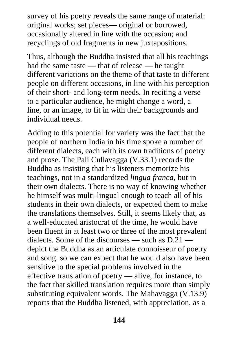survey of his poetry reveals the same range of material: original works; set pieces— original or borrowed, occasionally altered in line with the occasion; and recyclings of old fragments in new juxtapositions.

Thus, although the Buddha insisted that all his teachings had the same taste — that of release — he taught different variations on the theme of that taste to different people on different occasions, in line with his perception of their short- and long-term needs. In reciting a verse to a particular audience, he might change a word, a line, or an image, to fit in with their backgrounds and individual needs.

Adding to this potential for variety was the fact that the people of northern India in his time spoke a number of different dialects, each with its own traditions of poetry and prose. The Pali Cullavagga (V.33.1) records the Buddha as insisting that his listeners memorize his teachings, not in a standardized *lingua franca,* but in their own dialects. There is no way of knowing whether he himself was multi-lingual enough to teach all of his students in their own dialects, or expected them to make the translations themselves. Still, it seems likely that, as a well-educated aristocrat of the time, he would have been fluent in at least two or three of the most prevalent dialects. Some of the discourses — such as D.21 depict the Buddha as an articulate connoisseur of poetry and song. so we can expect that he would also have been sensitive to the special problems involved in the effective translation of poetry — alive, for instance, to the fact that skilled translation requires more than simply substituting equivalent words. The Mahavagga (V.13.9) reports that the Buddha listened, with appreciation, as a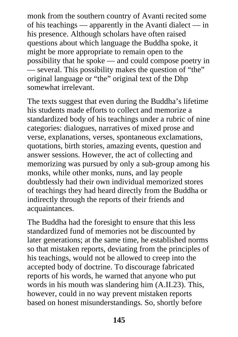monk from the southern country of Avanti recited some of his teachings — apparently in the Avanti dialect — in his presence. Although scholars have often raised questions about which language the Buddha spoke, it might be more appropriate to remain open to the possibility that he spoke — and could compose poetry in — several. This possibility makes the question of "the" original language or "the" original text of the Dhp somewhat irrelevant.

The texts suggest that even during the Buddha's lifetime his students made efforts to collect and memorize a standardized body of his teachings under a rubric of nine categories: dialogues, narratives of mixed prose and verse, explanations, verses, spontaneous exclamations, quotations, birth stories, amazing events, question and answer sessions. However, the act of collecting and memorizing was pursued by only a sub-group among his monks, while other monks, nuns, and lay people doubtlessly had their own individual memorized stores of teachings they had heard directly from the Buddha or indirectly through the reports of their friends and acquaintances.

The Buddha had the foresight to ensure that this less standardized fund of memories not be discounted by later generations; at the same time, he established norms so that mistaken reports, deviating from the principles of his teachings, would not be allowed to creep into the accepted body of doctrine. To discourage fabricated reports of his words, he warned that anyone who put words in his mouth was slandering him (A.II.23). This, however, could in no way prevent mistaken reports based on honest misunderstandings. So, shortly before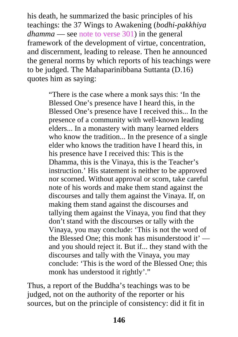his death, he summarized the basic principles of his teachings: the 37 Wings to Awakening (*bodhi-pakkhiya dhamma* — see [note to verse 301\)](#page-166-0) in the general framework of the development of virtue, concentration, and discernment, leading to release. Then he announced the general norms by which reports of his teachings were to be judged. The Mahaparinibbana Suttanta (D.16) quotes him as saying:

> "There is the case where a monk says this: 'In the Blessed One's presence have I heard this, in the Blessed One's presence have I received this... In the presence of a community with well-known leading elders... In a monastery with many learned elders who know the tradition... In the presence of a single elder who knows the tradition have I heard this, in his presence have I received this: This is the Dhamma, this is the Vinaya, this is the Teacher's instruction.' His statement is neither to be approved nor scorned. Without approval or scorn, take careful note of his words and make them stand against the discourses and tally them against the Vinaya. If, on making them stand against the discourses and tallying them against the Vinaya, you find that they don't stand with the discourses or tally with the Vinaya, you may conclude: 'This is not the word of the Blessed One; this monk has misunderstood it' and you should reject it. But if... they stand with the discourses and tally with the Vinaya, you may conclude: 'This is the word of the Blessed One; this monk has understood it rightly'."

Thus, a report of the Buddha's teachings was to be judged, not on the authority of the reporter or his sources, but on the principle of consistency: did it fit in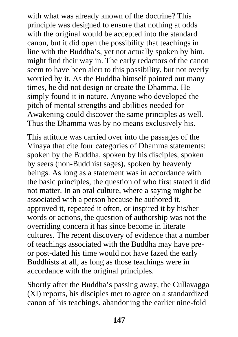with what was already known of the doctrine? This principle was designed to ensure that nothing at odds with the original would be accepted into the standard canon, but it did open the possibility that teachings in line with the Buddha's, yet not actually spoken by him, might find their way in. The early redactors of the canon seem to have been alert to this possibility, but not overly worried by it. As the Buddha himself pointed out many times, he did not design or create the Dhamma. He simply found it in nature. Anyone who developed the pitch of mental strengths and abilities needed for Awakening could discover the same principles as well. Thus the Dhamma was by no means exclusively his.

This attitude was carried over into the passages of the Vinaya that cite four categories of Dhamma statements: spoken by the Buddha, spoken by his disciples, spoken by seers (non-Buddhist sages), spoken by heavenly beings. As long as a statement was in accordance with the basic principles, the question of who first stated it did not matter. In an oral culture, where a saying might be associated with a person because he authored it, approved it, repeated it often, or inspired it by his/her words or actions, the question of authorship was not the overriding concern it has since become in literate cultures. The recent discovery of evidence that a number of teachings associated with the Buddha may have preor post-dated his time would not have fazed the early Buddhists at all, as long as those teachings were in accordance with the original principles.

Shortly after the Buddha's passing away, the Cullavagga (XI) reports, his disciples met to agree on a standardized canon of his teachings, abandoning the earlier nine-fold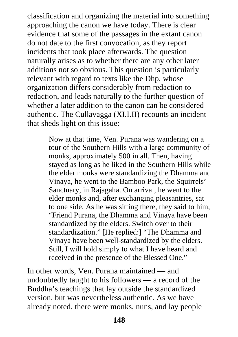classification and organizing the material into something approaching the canon we have today. There is clear evidence that some of the passages in the extant canon do not date to the first convocation, as they report incidents that took place afterwards. The question naturally arises as to whether there are any other later additions not so obvious. This question is particularly relevant with regard to texts like the Dhp, whose organization differs considerably from redaction to redaction, and leads naturally to the further question of whether a later addition to the canon can be considered authentic. The Cullavagga (XI.I.II) recounts an incident that sheds light on this issue:

> Now at that time, Ven. Purana was wandering on a tour of the Southern Hills with a large community of monks, approximately 500 in all. Then, having stayed as long as he liked in the Southern Hills while the elder monks were standardizing the Dhamma and Vinaya, he went to the Bamboo Park, the Squirrels' Sanctuary, in Rajagaha. On arrival, he went to the elder monks and, after exchanging pleasantries, sat to one side. As he was sitting there, they said to him, "Friend Purana, the Dhamma and Vinaya have been standardized by the elders. Switch over to their standardization." [He replied:] "The Dhamma and Vinaya have been well-standardized by the elders. Still, I will hold simply to what I have heard and received in the presence of the Blessed One."

In other words, Ven. Purana maintained — and undoubtedly taught to his followers — a record of the Buddha's teachings that lay outside the standardized version, but was nevertheless authentic. As we have already noted, there were monks, nuns, and lay people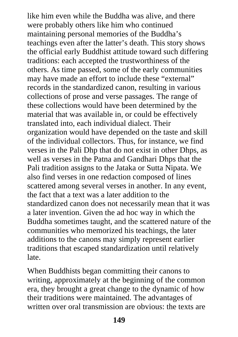like him even while the Buddha was alive, and there were probably others like him who continued maintaining personal memories of the Buddha's teachings even after the latter's death. This story shows the official early Buddhist attitude toward such differing traditions: each accepted the trustworthiness of the others. As time passed, some of the early communities may have made an effort to include these "external" records in the standardized canon, resulting in various collections of prose and verse passages. The range of these collections would have been determined by the material that was available in, or could be effectively translated into, each individual dialect. Their organization would have depended on the taste and skill of the individual collectors. Thus, for instance, we find verses in the Pali Dhp that do not exist in other Dhps, as well as verses in the Patna and Gandhari Dhps that the Pali tradition assigns to the Jataka or Sutta Nipata. We also find verses in one redaction composed of lines scattered among several verses in another. In any event, the fact that a text was a later addition to the standardized canon does not necessarily mean that it was a later invention. Given the ad hoc way in which the Buddha sometimes taught, and the scattered nature of the communities who memorized his teachings, the later additions to the canons may simply represent earlier traditions that escaped standardization until relatively late.

When Buddhists began committing their canons to writing, approximately at the beginning of the common era, they brought a great change to the dynamic of how their traditions were maintained. The advantages of written over oral transmission are obvious: the texts are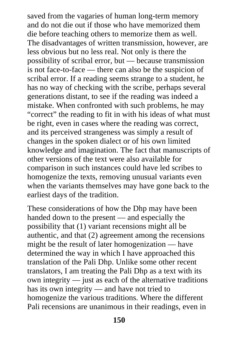saved from the vagaries of human long-term memory and do not die out if those who have memorized them die before teaching others to memorize them as well. The disadvantages of written transmission, however, are less obvious but no less real. Not only is there the possibility of scribal error, but — because transmission is not face-to-face — there can also be the suspicion of scribal error. If a reading seems strange to a student, he has no way of checking with the scribe, perhaps several generations distant, to see if the reading was indeed a mistake. When confronted with such problems, he may "correct" the reading to fit in with his ideas of what must be right, even in cases where the reading was correct, and its perceived strangeness was simply a result of changes in the spoken dialect or of his own limited knowledge and imagination. The fact that manuscripts of other versions of the text were also available for comparison in such instances could have led scribes to homogenize the texts, removing unusual variants even when the variants themselves may have gone back to the earliest days of the tradition.

These considerations of how the Dhp may have been handed down to the present — and especially the possibility that (1) variant recensions might all be authentic, and that (2) agreement among the recensions might be the result of later homogenization — have determined the way in which I have approached this translation of the Pali Dhp. Unlike some other recent translators, I am treating the Pali Dhp as a text with its own integrity — just as each of the alternative traditions has its own integrity — and have not tried to homogenize the various traditions. Where the different Pali recensions are unanimous in their readings, even in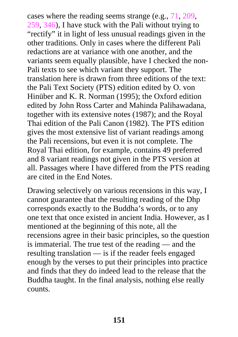cases where the reading seems strange (e.g.[, 71,](#page-40-0) [209,](#page-78-0) [259,](#page-90-0) [346\)](#page-113-0), I have stuck with the Pali without trying to "rectify" it in light of less unusual readings given in the other traditions. Only in cases where the different Pali redactions are at variance with one another, and the variants seem equally plausible, have I checked the non-Pali texts to see which variant they support. The translation here is drawn from three editions of the text: the Pali Text Society (PTS) edition edited by O. von Hinüber and K. R. Norman (1995); the Oxford edition edited by John Ross Carter and Mahinda Palihawadana, together with its extensive notes (1987); and the Royal Thai edition of the Pali Canon (1982). The PTS edition gives the most extensive list of variant readings among the Pali recensions, but even it is not complete. The Royal Thai edition, for example, contains 49 preferred and 8 variant readings not given in the PTS version at all. Passages where I have differed from the PTS reading are cited in the End Notes.

Drawing selectively on various recensions in this way, I cannot guarantee that the resulting reading of the Dhp corresponds exactly to the Buddha's words, or to any one text that once existed in ancient India. However, as I mentioned at the beginning of this note, all the recensions agree in their basic principles, so the question is immaterial. The true test of the reading — and the resulting translation — is if the reader feels engaged enough by the verses to put their principles into practice and finds that they do indeed lead to the release that the Buddha taught. In the final analysis, nothing else really counts.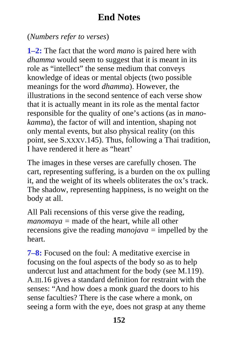## **End Notes**

<span id="page-151-0"></span>(*Numbers refer to verses*)

**[1–2:](#page-23-0)** The fact that the word *mano* is paired here with *dhamma* would seem to suggest that it is meant in its role as "intellect" the sense medium that conveys knowledge of ideas or mental objects (two possible meanings for the word *dhamma*). However, the illustrations in the second sentence of each verse show that it is actually meant in its role as the mental factor responsible for the quality of one's actions (as in *manokamma*), the factor of will and intention, shaping not only mental events, but also physical reality (on this point, see S.XXXV.145). Thus, following a Thai tradition, I have rendered it here as "heart'

The images in these verses are carefully chosen. The cart, representing suffering, is a burden on the ox pulling it, and the weight of its wheels obliterates the ox's track. The shadow, representing happiness, is no weight on the body at all.

All Pali recensions of this verse give the reading, *manomaya =* made of the heart, while all other recensions give the reading *manojava =* impelled by the heart.

**[7–8:](#page-25-0)** Focused on the foul: A meditative exercise in focusing on the foul aspects of the body so as to help undercut lust and attachment for the body (see M.119). A.III.16 gives a standard definition for restraint with the senses: "And how does a monk guard the doors to his sense faculties? There is the case where a monk, on seeing a form with the eye, does not grasp at any theme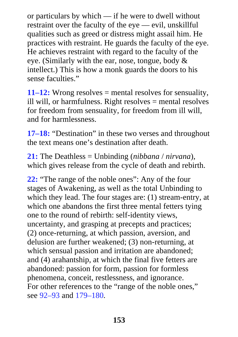<span id="page-152-0"></span>or particulars by which — if he were to dwell without restraint over the faculty of the eye — evil, unskillful qualities such as greed or distress might assail him. He practices with restraint. He guards the faculty of the eye. He achieves restraint with regard to the faculty of the eye. (Similarly with the ear, nose, tongue, body & intellect.) This is how a monk guards the doors to his sense faculties."

**[11–12:](#page-25-0)** Wrong resolves = mental resolves for sensuality, ill will, or harmfulness. Right resolves = mental resolves for freedom from sensuality, for freedom from ill will, and for harmlessness.

**[17–18:](#page-27-0)** "Destination" in these two verses and throughout the text means one's destination after death.

**[21:](#page-28-0)** The Deathless = Unbinding (*nibbana* / *nirvana*)*,* which gives release from the cycle of death and rebirth.

**[22:](#page-28-0)** "The range of the noble ones": Any of the four stages of Awakening, as well as the total Unbinding to which they lead. The four stages are: (1) stream-entry, at which one abandons the first three mental fetters tying one to the round of rebirth: self-identity views, uncertainty, and grasping at precepts and practices; (2) once-returning, at which passion, aversion, and delusion are further weakened; (3) non-returning, at which sensual passion and irritation are abandoned; and (4) arahantship, at which the final five fetters are abandoned: passion for form, passion for formless phenomena, conceit, restlessness, and ignorance. For other references to the "range of the noble ones," se[e 92–93](#page-47-0) and [179–180](#page-70-0)*.*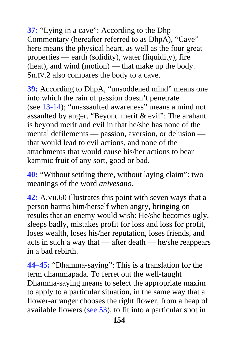<span id="page-153-0"></span>**[37:](#page-32-0)** "Lying in a cave": According to the Dhp Commentary (hereafter referred to as DhpA), "Cave" here means the physical heart, as well as the four great properties — earth (solidity), water (liquidity), fire (heat), and wind (motion) — that make up the body. Sn.IV.2 also compares the body to a cave.

**[39:](#page-32-0)** According to DhpA, "unsoddened mind" means one into which the rain of passion doesn't penetrate (see [13-14\)](#page-26-0); "unassaulted awareness" means a mind not assaulted by anger. "Beyond merit & evil": The arahant is beyond merit and evil in that he/she has none of the mental defilements — passion, aversion, or delusion that would lead to evil actions, and none of the attachments that would cause his/her actions to bear kammic fruit of any sort, good or bad.

**[40:](#page-33-0)** "Without settling there, without laying claim": two meanings of the word *anivesano.*

**[42:](#page-33-0)** A.VII.60 illustrates this point with seven ways that a person harms him/herself when angry, bringing on results that an enemy would wish: He/she becomes ugly, sleeps badly, mistakes profit for loss and loss for profit, loses wealth, loses his/her reputation, loses friends, and acts in such a way that — after death — he/she reappears in a bad rebirth.

**[44–45:](#page-34-0)** "Dhamma-saying": This is a translation for the term dhammapada. To ferret out the well-taught Dhamma-saying means to select the appropriate maxim to apply to a particular situation, in the same way that a flower-arranger chooses the right flower, from a heap of available flowers [\(see 53\),](#page-36-0) to fit into a particular spot in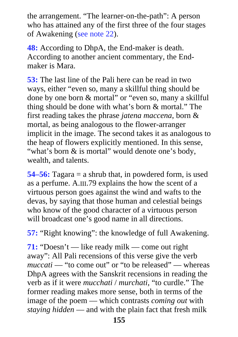the arrangement. "The learner-on-the-path": A person who has attained any of the first three of the four stages of Awakening [\(see note 22\).](#page-152-0)

**[48:](#page-35-0)** According to DhpA, the End-maker is death. According to another ancient commentary, the Endmaker is Mara.

**[53:](#page-36-0)** The last line of the Pali here can be read in two ways, either "even so, many a skillful thing should be done by one born & mortal" or "even so, many a skillful thing should be done with what's born & mortal." The first reading takes the phrase *jatena maccena*, born & mortal, as being analogous to the flower-arranger implicit in the image. The second takes it as analogous to the heap of flowers explicitly mentioned. In this sense, "what's born & is mortal" would denote one's body, wealth, and talents.

**[54–56:](#page-37-0)** Tagara = a shrub that, in powdered form, is used as a perfume. A.III.79 explains the how the scent of a virtuous person goes against the wind and wafts to the devas, by saying that those human and celestial beings who know of the good character of a virtuous person will broadcast one's good name in all directions.

**[57:](#page-37-0)** "Right knowing": the knowledge of full Awakening.

**[71:](#page-40-0)** "Doesn't — like ready milk — come out right away": All Pali recensions of this verse give the verb *muccati* — "to come out" or "to be released" — whereas DhpA agrees with the Sanskrit recensions in reading the verb as if it were *mucchati* / *murchati*, "to curdle." The former reading makes more sense, both in terms of the image of the poem — which contrasts *coming out* with *staying hidden* — and with the plain fact that fresh milk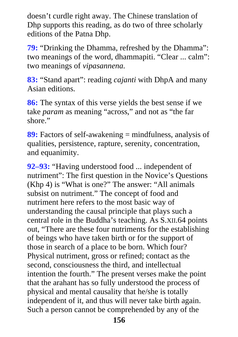<span id="page-155-0"></span>doesn't curdle right away. The Chinese translation of Dhp supports this reading, as do two of three scholarly editions of the Patna Dhp.

**[79:](#page-43-0)** "Drinking the Dhamma, refreshed by the Dhamma": two meanings of the word, dhammapiti. "Clear ... calm": two meanings of *vipasannena.*

**[83:](#page-44-0)** "Stand apart": reading *cajanti* with DhpA and many Asian editions.

**[86:](#page-45-0)** The syntax of this verse yields the best sense if we take *param* as meaning "across," and not as "the far shore."

**[89:](#page-45-0)** Factors of self-awakening = mindfulness, analysis of qualities, persistence, rapture, serenity, concentration, and equanimity.

**[92–93:](#page-47-0)** "Having understood food ... independent of nutriment": The first question in the Novice's Questions (Khp 4) is "What is one?" The answer: "All animals subsist on nutriment." The concept of food and nutriment here refers to the most basic way of understanding the causal principle that plays such a central role in the Buddha's teaching. As S.XII.64 points out, "There are these four nutriments for the establishing of beings who have taken birth or for the support of those in search of a place to be born. Which four? Physical nutriment, gross or refined; contact as the second, consciousness the third, and intellectual intention the fourth." The present verses make the point that the arahant has so fully understood the process of physical and mental causality that he/she is totally independent of it, and thus will never take birth again. Such a person cannot be comprehended by any of the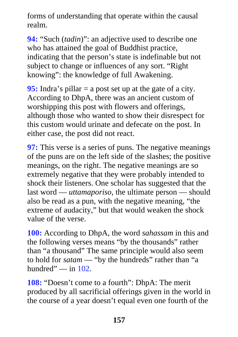forms of understanding that operate within the causal realm.

**[94:](#page-47-0)** "Such (*tadin*)": an adjective used to describe one who has attained the goal of Buddhist practice, indicating that the person's state is indefinable but not subject to change or influences of any sort. "Right knowing": the knowledge of full Awakening.

**[95:](#page-47-0)** Indra's pillar = a post set up at the gate of a city. According to DhpA, there was an ancient custom of worshipping this post with flowers and offerings, although those who wanted to show their disrespect for this custom would urinate and defecate on the post. In either case, the post did not react.

**[97:](#page-48-0)** This verse is a series of puns. The negative meanings of the puns are on the left side of the slashes; the positive meanings, on the right. The negative meanings are so extremely negative that they were probably intended to shock their listeners. One scholar has suggested that the last word — *uttamaporiso*, the ultimate person — should also be read as a pun, with the negative meaning, "the extreme of audacity," but that would weaken the shock value of the verse.

**[100:](#page-49-0)** According to DhpA, the word *sahassam* in this and the following verses means "by the thousands" rather than "a thousand" The same principle would also seem to hold for *satam* — "by the hundreds" rather than "a hundred" — in  $102$ .

**[108:](#page-51-0)** "Doesn't come to a fourth": DhpA: The merit produced by all sacrificial offerings given in the world in the course of a year doesn't equal even one fourth of the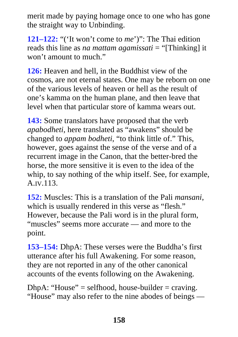merit made by paying homage once to one who has gone the straight way to Unbinding.

**[121–122:](#page-55-0)** "('It won't come to *me*')": The Thai edition reads this line as *na mattam agamissati* = "[Thinking] it won't amount to much."

**[126:](#page-56-0)** Heaven and hell, in the Buddhist view of the cosmos, are not eternal states. One may be reborn on one of the various levels of heaven or hell as the result of one's kamma on the human plane, and then leave that level when that particular store of kamma wears out.

**[143:](#page-60-0)** Some translators have proposed that the verb *apabodheti*, here translated as "awakens" should be changed to *appam bodheti*, "to think little of." This, however, goes against the sense of the verse and of a recurrent image in the Canon, that the better-bred the horse, the more sensitive it is even to the idea of the whip, to say nothing of the whip itself. See, for example, A.IV.113.

**[152:](#page-62-0)** Muscles: This is a translation of the Pali *mansani*, which is usually rendered in this verse as "flesh." However, because the Pali word is in the plural form, "muscles" seems more accurate — and more to the point.

**[153–154:](#page-63-0)** DhpA: These verses were the Buddha's first utterance after his full Awakening. For some reason, they are not reported in any of the other canonical accounts of the events following on the Awakening.

DhpA: "House" = selfhood, house-builder = craving. "House" may also refer to the nine abodes of beings —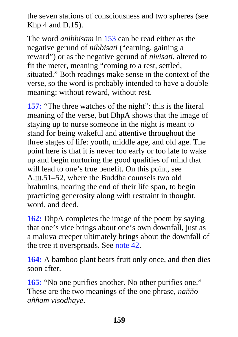the seven stations of consciousness and two spheres (see Khp 4 and D.15).

The word *anibbisam* in [153](#page-63-0) can be read either as the negative gerund of *nibbisati* ("earning, gaining a reward") or as the negative gerund of *nivisati*, altered to fit the meter, meaning "coming to a rest, settled, situated." Both readings make sense in the context of the verse, so the word is probably intended to have a double meaning: without reward, without rest.

**[157:](#page-64-0)** "The three watches of the night": this is the literal meaning of the verse, but DhpA shows that the image of staying up to nurse someone in the night is meant to stand for being wakeful and attentive throughout the three stages of life: youth, middle age, and old age. The point here is that it is never too early or too late to wake up and begin nurturing the good qualities of mind that will lead to one's true benefit. On this point, see A.III.51–52*,* where the Buddha counsels two old brahmins, nearing the end of their life span, to begin practicing generosity along with restraint in thought, word, and deed.

**[162:](#page-65-0)** DhpA completes the image of the poem by saying that one's vice brings about one's own downfall, just as a maluva creeper ultimately brings about the downfall of the tree it overspreads. See [note 42.](#page-153-0)

**[164:](#page-66-0)** A bamboo plant bears fruit only once, and then dies soon after.

**[165:](#page-66-0)** "No one purifies another. No other purifies one." These are the two meanings of the one phrase, *nañño aññam visodhaye*.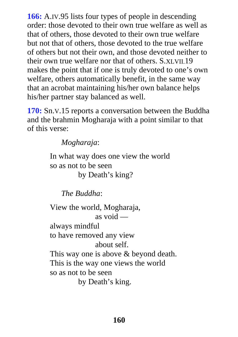**[166:](#page-66-0)** A.IV.95 lists four types of people in descending order: those devoted to their own true welfare as well as that of others, those devoted to their own true welfare but not that of others, those devoted to the true welfare of others but not their own, and those devoted neither to their own true welfare nor that of others. S.XLVII.19 makes the point that if one is truly devoted to one's own welfare, others automatically benefit, in the same way that an acrobat maintaining his/her own balance helps his/her partner stay balanced as well.

**[170:](#page-67-0)** Sn.V.15 reports a conversation between the Buddha and the brahmin Mogharaja with a point similar to that of this verse:

*Mogharaja*:

In what way does one view the world so as not to be seen by Death's king?

*The Buddha*:

View the world, Mogharaja, as void always mindful to have removed any view about self. This way one is above & beyond death. This is the way one views the world so as not to be seen by Death's king.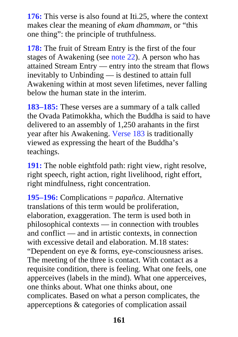<span id="page-160-0"></span>**[176:](#page-69-0)** This verse is also found at Iti.25, where the context makes clear the meaning of *ekam dhammam,* or "this one thing": the principle of truthfulness.

**[178:](#page-69-0)** The fruit of Stream Entry is the first of the four stages of Awakening [\(see note 22\)](#page-152-0). A person who has attained Stream Entry — entry into the stream that flows inevitably to Unbinding — is destined to attain full Awakening within at most seven lifetimes, never falling below the human state in the interim.

**[183–185:](#page-71-0)** These verses are a summary of a talk called the Ovada Patimokkha, which the Buddha is said to have delivered to an assembly of 1,250 arahants in the first year after his Awakening. [Verse 183 i](#page-71-0)s traditionally viewed as expressing the heart of the Buddha's teachings.

**[191:](#page-73-0)** The noble eightfold path: right view, right resolve, right speech, right action, right livelihood, right effort, right mindfulness, right concentration.

**[195–196:](#page-74-0)** Complications = *papañca*. Alternative translations of this term would be proliferation, elaboration, exaggeration. The term is used both in philosophical contexts — in connection with troubles and conflict — and in artistic contexts, in connection with excessive detail and elaboration. M.18 states: "Dependent on eye & forms, eye-consciousness arises. The meeting of the three is contact. With contact as a requisite condition, there is feeling. What one feels, one apperceives (labels in the mind). What one apperceives, one thinks about. What one thinks about, one complicates. Based on what a person complicates, the apperceptions & categories of complication assail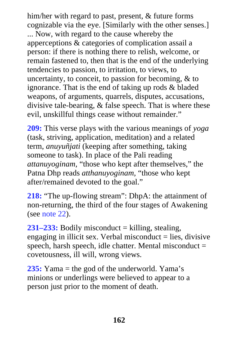him/her with regard to past, present, & future forms cognizable via the eye. [Similarly with the other senses.] ... Now, with regard to the cause whereby the apperceptions & categories of complication assail a person: if there is nothing there to relish, welcome, or remain fastened to, then that is the end of the underlying tendencies to passion, to irritation, to views, to uncertainty, to conceit, to passion for becoming, & to ignorance. That is the end of taking up rods & bladed weapons, of arguments, quarrels, disputes, accusations, divisive tale-bearing, & false speech. That is where these evil, unskillful things cease without remainder."

**[209:](#page-78-0)** This verse plays with the various meanings of *yoga* (task, striving, application, meditation) and a related term, *anuyuñjati* (keeping after something, taking someone to task). In place of the Pali reading *attanuyoginam,* "those who kept after themselves," the Patna Dhp reads *atthanuyoginam,* "those who kept after/remained devoted to the goal."

**[218:](#page-80-0)** "The up-flowing stream": DhpA: the attainment of non-returning, the third of the four stages of Awakening (see [note 22\)](#page-152-0).

**[231–233:](#page-84-0)** Bodily misconduct = killing, stealing, engaging in illicit sex. Verbal misconduct  $=$  lies, divisive speech, harsh speech, idle chatter. Mental misconduct = covetousness, ill will, wrong views.

**[235:](#page-86-0)** Yama = the god of the underworld. Yama's minions or underlings were believed to appear to a person just prior to the moment of death.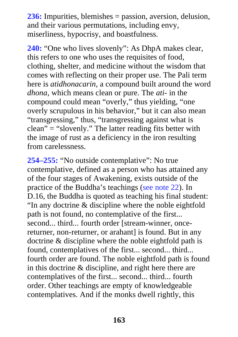<span id="page-162-0"></span>**[236:](#page-86-0)** Impurities, blemishes = passion, aversion, delusion, and their various permutations, including envy, miserliness, hypocrisy, and boastfulness.

**[240:](#page-86-0)** "One who lives slovenly": As DhpA makes clear, this refers to one who uses the requisites of food, clothing, shelter, and medicine without the wisdom that comes with reflecting on their proper use. The Pali term here is *atidhonacarin,* a compound built around the word *dhona,* which means clean or pure. The *ati-* in the compound could mean "overly," thus yielding, "one overly scrupulous in his behavior," but it can also mean "transgressing," thus, "transgressing against what is clean" = "slovenly." The latter reading fits better with the image of rust as a deficiency in the iron resulting from carelessness.

**[254–255:](#page-89-0)** "No outside contemplative": No true contemplative, defined as a person who has attained any of the four stages of Awakening, exists outside of the practice of the Buddha's teachings [\(see note 22\)](#page-152-0). In D.16, the Buddha is quoted as teaching his final student: "In any doctrine & discipline where the noble eightfold path is not found, no contemplative of the first... second... third... fourth order [stream-winner, oncereturner, non-returner, or arahant] is found. But in any doctrine & discipline where the noble eightfold path is found, contemplatives of the first... second... third... fourth order are found. The noble eightfold path is found in this doctrine & discipline, and right here there are contemplatives of the first... second... third... fourth order. Other teachings are empty of knowledgeable contemplatives. And if the monks dwell rightly, this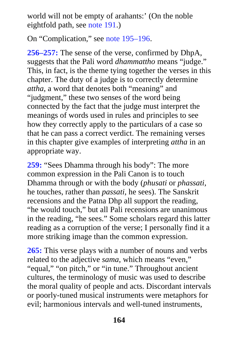<span id="page-163-0"></span>world will not be empty of arahants:' (On the noble eightfold path, see [note 191.\)](#page-160-0)

On "Complication," see [note 195–196.](#page-160-0)

**[256–257:](#page-90-0)** The sense of the verse, confirmed by DhpA, suggests that the Pali word *dhammattho* means "judge." This, in fact, is the theme tying together the verses in this chapter. The duty of a judge is to correctly determine *attha*, a word that denotes both "meaning" and "judgment," these two senses of the word being connected by the fact that the judge must interpret the meanings of words used in rules and principles to see how they correctly apply to the particulars of a case so that he can pass a correct verdict. The remaining verses in this chapter give examples of interpreting *attha* in an appropriate way.

**[259:](#page-90-0)** "Sees Dhamma through his body": The more common expression in the Pali Canon is to touch Dhamma through or with the body (*phusati* or *phassati*, he touches, rather than *passati*, he sees). The Sanskrit recensions and the Patna Dhp all support the reading, "he would touch," but all Pali recensions are unanimous in the reading, "he sees." Some scholars regard this latter reading as a corruption of the verse; I personally find it a more striking image than the common expression.

**[265:](#page-92-0)** This verse plays with a number of nouns and verbs related to the adjective *sama*, which means "even," "equal," "on pitch," or "in tune." Throughout ancient cultures, the terminology of music was used to describe the moral quality of people and acts. Discordant intervals or poorly-tuned musical instruments were metaphors for evil; harmonious intervals and well-tuned instruments,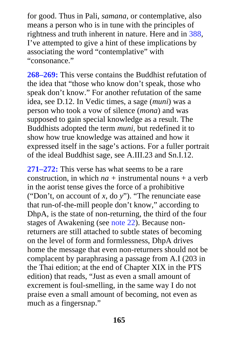for good. Thus in Pali, *samana*, or contemplative, also means a person who is in tune with the principles of rightness and truth inherent in nature. Here and in [388,](#page-124-0) I've attempted to give a hint of these implications by associating the word "contemplative" with "consonance."

**[268–269:](#page-93-0)** This verse contains the Buddhist refutation of the idea that "those who know don't speak, those who speak don't know." For another refutation of the same idea, see D.12. In Vedic times, a sage (*muni*) was a person who took a vow of silence (*mona*) and was supposed to gain special knowledge as a result. The Buddhists adopted the term *muni,* but redefined it to show how true knowledge was attained and how it expressed itself in the sage's actions. For a fuller portrait of the ideal Buddhist sage, see A.III.23 and Sn.I.12.

**[271–272:](#page-93-0)** This verse has what seems to be a rare construction, in which *na +* instrumental nouns + a verb in the aorist tense gives the force of a prohibitive ("Don't, on account of *x*, do *y*"). "The renunciate ease that run-of-the-mill people don't know," according to DhpA, is the state of non-returning, the third of the four stages of Awakening (see [note 22\)](#page-152-0). Because nonreturners are still attached to subtle states of becoming on the level of form and formlessness, DhpA drives home the message that even non-returners should not be complacent by paraphrasing a passage from A.I (203 in the Thai edition; at the end of Chapter XIX in the PTS edition) that reads, "Just as even a small amount of excrement is foul-smelling, in the same way I do not praise even a small amount of becoming, not even as much as a fingersnap."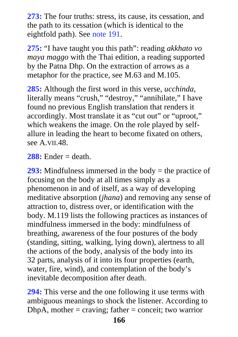<span id="page-165-0"></span>**[273:](#page-94-0)** The four truths: stress, its cause, its cessation, and the path to its cessation (which is identical to the eightfold path). See [note 191.](#page-160-0)

**[275:](#page-95-0)** "I have taught you this path": reading *akkhato vo maya maggo* with the Thai edition, a reading supported by the Patna Dhp. On the extraction of arrows as a metaphor for the practice, see M.63 and M.105.

**[285:](#page-97-0)** Although the first word in this verse, *ucchinda,* literally means "crush," "destroy," "annihilate," I have found no previous English translation that renders it accordingly. Most translate it as "cut out" or "uproot," which weakens the image. On the role played by selfallure in leading the heart to become fixated on others, see A.VII.48.

**[288:](#page-98-0)** Ender = death.

**[293:](#page-100-0)** Mindfulness immersed in the body = the practice of focusing on the body at all times simply as a phenomenon in and of itself, as a way of developing meditative absorption (*jhana*) and removing any sense of attraction to, distress over, or identification with the body. M.119 lists the following practices as instances of mindfulness immersed in the body: mindfulness of breathing, awareness of the four postures of the body (standing, sitting, walking, lying down), alertness to all the actions of the body, analysis of the body into its 32 parts, analysis of it into its four properties (earth, water, fire, wind), and contemplation of the body's inevitable decomposition after death.

**[294:](#page-100-0)** This verse and the one following it use terms with ambiguous meanings to shock the listener. According to DhpA, mother  $=$  craving; father  $=$  conceit; two warrior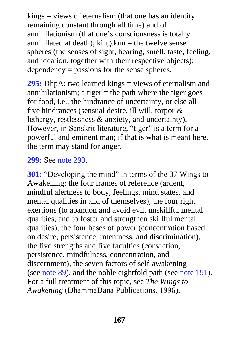<span id="page-166-0"></span> $kings = views of tetrnalism (that one has an identity)$ remaining constant through all time) and of annihilationism (that one's consciousness is totally annihilated at death); kingdom  $=$  the twelve sense spheres (the senses of sight, hearing, smell, taste, feeling, and ideation, together with their respective objects); dependency = passions for the sense spheres.

**[295:](#page-100-0)** DhpA: two learned kings = views of eternalism and annihilationism; a tiger  $=$  the path where the tiger goes for food, i.e., the hindrance of uncertainty, or else all five hindrances (sensual desire, ill will, torpor & lethargy, restlessness & anxiety, and uncertainty). However, in Sanskrit literature, "tiger" is a term for a powerful and eminent man; if that is what is meant here, the term may stand for anger.

## **[299:](#page-101-0)** See [note 293.](#page-165-0)

**[301:](#page-101-0)** "Developing the mind" in terms of the 37 Wings to Awakening: the four frames of reference (ardent, mindful alertness to body, feelings, mind states, and mental qualities in and of themselves), the four right exertions (to abandon and avoid evil, unskillful mental qualities, and to foster and strengthen skillful mental qualities), the four bases of power (concentration based on desire, persistence, intentness, and discrimination), the five strengths and five faculties (conviction, persistence, mindfulness, concentration, and discernment), the seven factors of self-awakening (see [note 89\)](#page-155-0), and the noble eightfold path (see [note 191\)](#page-160-0). For a full treatment of this topic, see *The Wings to Awakening* (DhammaDana Publications, 1996).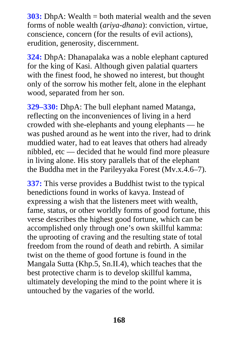**[303:](#page-102-0)** DhpA: Wealth = both material wealth and the seven forms of noble wealth (*ariya-dhana*): conviction, virtue, conscience, concern (for the results of evil actions), erudition, generosity, discernment.

**[324:](#page-107-0)** DhpA: Dhanapalaka was a noble elephant captured for the king of Kasi. Although given palatial quarters with the finest food, he showed no interest, but thought only of the sorrow his mother felt, alone in the elephant wood, separated from her son.

**[329–330:](#page-108-0)** DhpA: The bull elephant named Matanga, reflecting on the inconveniences of living in a herd crowded with she-elephants and young elephants — he was pushed around as he went into the river, had to drink muddied water, had to eat leaves that others had already nibbled, etc — decided that he would find more pleasure in living alone. His story parallels that of the elephant the Buddha met in the Parileyyaka Forest (Mv.x.4.6–7).

**[337:](#page-111-0)** This verse provides a Buddhist twist to the typical benedictions found in works of kavya. Instead of expressing a wish that the listeners meet with wealth, fame, status, or other worldly forms of good fortune, this verse describes the highest good fortune, which can be accomplished only through one's own skillful kamma: the uprooting of craving and the resulting state of total freedom from the round of death and rebirth. A similar twist on the theme of good fortune is found in the Mangala Sutta (Khp.5, Sn.II.4), which teaches that the best protective charm is to develop skillful kamma, ultimately developing the mind to the point where it is untouched by the vagaries of the world.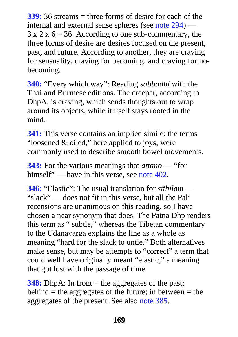<span id="page-168-0"></span>**[339:](#page-111-0)** 36 streams = three forms of desire for each of the internal and external sense spheres (see [note 294\)](#page-165-0) —  $3 \times 2 \times 6 = 36$ . According to one sub-commentary, the three forms of desire are desires focused on the present, past, and future. According to another, they are craving for sensuality, craving for becoming, and craving for nobecoming.

**[340:](#page-111-0)** "Every which way": Reading *sabbadhi* with the Thai and Burmese editions. The creeper, according to DhpA, is craving, which sends thoughts out to wrap around its objects, while it itself stays rooted in the mind.

**[341:](#page-112-0)** This verse contains an implied simile: the terms "loosened & oiled," here applied to joys, were commonly used to describe smooth bowel movements.

**[343:](#page-112-0)** For the various meanings that *attano* — "for himself" — have in this verse, see [note 402.](#page-173-0)

**[346:](#page-113-0)** "Elastic": The usual translation for *sithilam* — "slack" — does not fit in this verse, but all the Pali recensions are unanimous on this reading, so I have chosen a near synonym that does. The Patna Dhp renders this term as " subtle," whereas the Tibetan commentary to the Udanavarga explains the line as a whole as meaning "hard for the slack to untie." Both alternatives make sense, but may be attempts to "correct" a term that could well have originally meant "elastic," a meaning that got lost with the passage of time.

**[348:](#page-114-0)** DhpA: In front = the aggregates of the past; behind  $=$  the aggregates of the future; in between  $=$  the aggregates of the present. See also [note 385.](#page-170-0)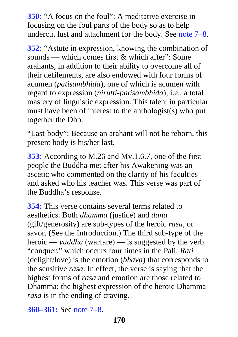<span id="page-169-0"></span>**[350:](#page-114-0)** "A focus on the foul": A meditative exercise in focusing on the foul parts of the body so as to help undercut lust and attachment for the body. See [note 7–8.](#page-151-0)

**[352:](#page-115-0)** "Astute in expression, knowing the combination of sounds — which comes first & which after": Some arahants, in addition to their ability to overcome all of their defilements, are also endowed with four forms of acumen (*patisambhida*), one of which is acumen with regard to expression (*nirutti-patisambhida*), i.e., a total mastery of linguistic expression. This talent in particular must have been of interest to the anthologist(s) who put together the Dhp.

"Last-body": Because an arahant will not be reborn, this present body is his/her last.

**[353:](#page-115-0)** According to M.26 and Mv.1.6.7, one of the first people the Buddha met after his Awakening was an ascetic who commented on the clarity of his faculties and asked who his teacher was. This verse was part of the Buddha's response.

**[354:](#page-115-0)** This verse contains several terms related to aesthetics. Both *dhamma* (justice) and *dana* (gift/generosity) are sub-types of the heroic *rasa*, or savor. (See the Introduction.) The third sub-type of the heroic — *yuddha* (warfare) — is suggested by the verb "conquer," which occurs four times in the Pali. *Rati* (delight/love) is the emotion (*bhava*) that corresponds to the sensitive *rasa*. In effect, the verse is saying that the highest forms of *rasa* and emotion are those related to Dhamma; the highest expression of the heroic Dhamma *rasa* is in the ending of craving.

**[360–361:](#page-117-0)** Se[e note 7–8.](#page-151-0)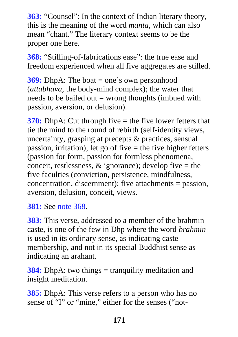<span id="page-170-0"></span>**[363:](#page-117-0)** "Counsel": In the context of Indian literary theory, this is the meaning of the word *manta,* which can also mean "chant." The literary context seems to be the proper one here.

**[368:](#page-119-0)** "Stilling-of-fabrications ease": the true ease and freedom experienced when all five aggregates are stilled.

**[369:](#page-119-0)** DhpA: The boat = one's own personhood (*attabhava,* the body-mind complex); the water that needs to be bailed out  $=$  wrong thoughts (imbued with passion, aversion, or delusion).

**[370:](#page-119-0)** DhpA: Cut through five = the five lower fetters that tie the mind to the round of rebirth (self-identity views, uncertainty, grasping at precepts & practices, sensual passion, irritation); let go of five  $=$  the five higher fetters (passion for form, passion for formless phenomena, conceit, restlessness,  $\&$  ignorance); develop five = the five faculties (conviction, persistence, mindfulness, concentration, discernment); five attachments = passion, aversion, delusion, conceit, views.

**[381:](#page-122-0)** See note 368.

**[383:](#page-123-0)** This verse, addressed to a member of the brahmin caste, is one of the few in Dhp where the word *brahmin* is used in its ordinary sense, as indicating caste membership, and not in its special Buddhist sense as indicating an arahant.

**[384:](#page-123-0)** DhpA: two things = tranquility meditation and insight meditation.

**[385:](#page-123-0)** DhpA: This verse refers to a person who has no sense of "I" or "mine," either for the senses ("not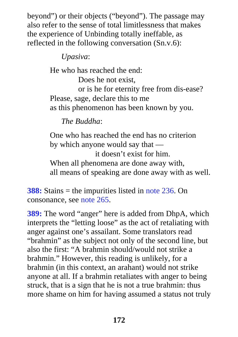beyond") or their objects ("beyond"). The passage may also refer to the sense of total limitlessness that makes the experience of Unbinding totally ineffable, as reflected in the following conversation (Sn.v.6):

*Upasiva*:

He who has reached the end:

Does he not exist,

or is he for eternity free from dis-ease? Please, sage, declare this to me as this phenomenon has been known by you.

*The Buddha*:

One who has reached the end has no criterion by which anyone would say that it doesn't exist for him. When all phenomena are done away with, all means of speaking are done away with as well.

**[388:](#page-124-0)** Stains = the impurities listed in [note 236.](#page-162-0) On consonance, see [note 265.](#page-163-0)

**[389:](#page-125-0)** The word "anger" here is added from DhpA, which interprets the "letting loose" as the act of retaliating with anger against one's assailant. Some translators read "brahmin" as the subject not only of the second line, but also the first: "A brahmin should/would not strike a brahmin." However, this reading is unlikely, for a brahmin (in this context, an arahant) would not strike anyone at all. If a brahmin retaliates with anger to being struck, that is a sign that he is not a true brahmin: thus more shame on him for having assumed a status not truly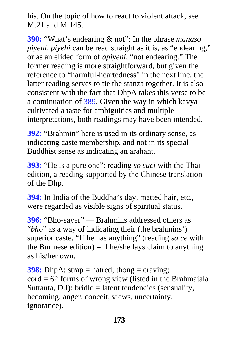his. On the topic of how to react to violent attack, see M.21 and M.145.

**[390:](#page-125-0)** "What's endearing & not": In the phrase *manaso piyehi, piyehi* can be read straight as it is, as "endearing," or as an elided form of *apiyehi,* "not endearing." The former reading is more straightforward, but given the reference to "harmful-heartedness" in the next line, the latter reading serves to tie the stanza together. It is also consistent with the fact that DhpA takes this verse to be a continuation o[f 389.](#page-125-0) Given the way in which kavya cultivated a taste for ambiguities and multiple interpretations, both readings may have been intended.

**[392:](#page-125-0)** "Brahmin" here is used in its ordinary sense, as indicating caste membership, and not in its special Buddhist sense as indicating an arahant.

**[393:](#page-126-0)** "He is a pure one": reading *so suci* with the Thai edition, a reading supported by the Chinese translation of the Dhp.

**[394:](#page-126-0)** In India of the Buddha's day, matted hair, etc., were regarded as visible signs of spiritual status.

**[396:](#page-126-0)** "Bho-sayer" — Brahmins addressed others as "*bho*" as a way of indicating their (the brahmins') superior caste. "If he has anything" (reading *sa ce* with the Burmese edition) = if he/she lays claim to anything as his/her own.

**[398:](#page-127-0)** DhpA: strap = hatred; thong = craving;  $\text{cord} = 62$  forms of wrong view (listed in the Brahmajala Suttanta, D.I); bridle = latent tendencies (sensuality, becoming, anger, conceit, views, uncertainty, ignorance).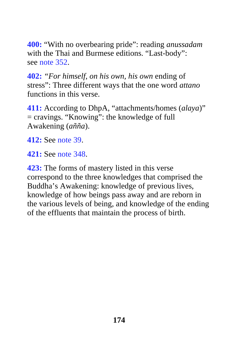<span id="page-173-0"></span>**[400:](#page-127-0)** "With no overbearing pride": reading *anussadam* with the Thai and Burmese editions. "Last-body": see [note 352.](#page-169-0)

**[402:](#page-128-0)** *"For himself, on his own, his own* ending of stress": Three different ways that the one word *attano* functions in this verse.

**[411:](#page-131-0)** According to DhpA, "attachments/homes (*alaya*)" = cravings. "Knowing": the knowledge of full Awakening (*añña*).

**[412:](#page-131-0)** Se[e note 39.](#page-153-0)

**[421:](#page-134-0)** See [note 348.](#page-168-0)

**[423:](#page-134-0)** The forms of mastery listed in this verse correspond to the three knowledges that comprised the Buddha's Awakening: knowledge of previous lives, knowledge of how beings pass away and are reborn in the various levels of being, and knowledge of the ending of the effluents that maintain the process of birth.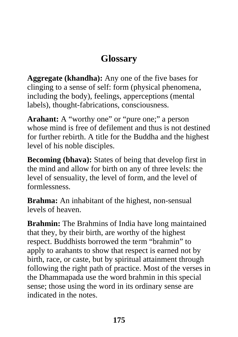## **Glossary**

**Aggregate (khandha):** Any one of the five bases for clinging to a sense of self: form (physical phenomena, including the body), feelings, apperceptions (mental labels), thought-fabrications, consciousness.

**Arahant:** A "worthy one" or "pure one;" a person whose mind is free of defilement and thus is not destined for further rebirth. A title for the Buddha and the highest level of his noble disciples.

**Becoming (bhava):** States of being that develop first in the mind and allow for birth on any of three levels: the level of sensuality, the level of form, and the level of formlessness.

**Brahma:** An inhabitant of the highest, non-sensual levels of heaven.

**Brahmin:** The Brahmins of India have long maintained that they, by their birth, are worthy of the highest respect. Buddhists borrowed the term "brahmin" to apply to arahants to show that respect is earned not by birth, race, or caste, but by spiritual attainment through following the right path of practice. Most of the verses in the Dhammapada use the word brahmin in this special sense; those using the word in its ordinary sense are indicated in the notes.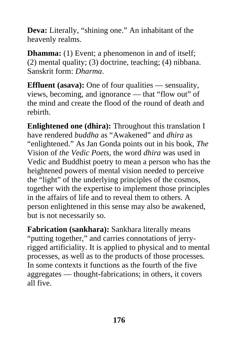**Deva:** Literally, "shining one." An inhabitant of the heavenly realms.

**Dhamma:** (1) Event; a phenomenon in and of itself; (2) mental quality; (3) doctrine, teaching; (4) nibbana. Sanskrit form: *Dharma*.

**Effluent (asava):** One of four qualities — sensuality, views, becoming, and ignorance — that "flow out" of the mind and create the flood of the round of death and rebirth.

**Enlightened one (dhira):** Throughout this translation I have rendered *buddha* as "Awakened" and *dhira* as "enlightened." As Jan Gonda points out in his book, *The* Vision of *the Vedic Poets,* the word *dhira* was used in Vedic and Buddhist poetry to mean a person who has the heightened powers of mental vision needed to perceive the "light" of the underlying principles of the cosmos, together with the expertise to implement those principles in the affairs of life and to reveal them to others. A person enlightened in this sense may also be awakened, but is not necessarily so.

**Fabrication (sankhara):** Sankhara literally means "putting together," and carries connotations of jerryrigged artificiality. It is applied to physical and to mental processes, as well as to the products of those processes. In some contexts it functions as the fourth of the five aggregates — thought-fabrications; in others, it covers all five.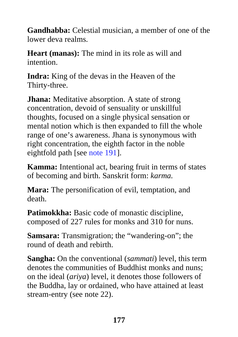**Gandhabba:** Celestial musician, a member of one of the lower deva realms.

**Heart (manas):** The mind in its role as will and intention.

**Indra:** King of the devas in the Heaven of the Thirty-three.

**Jhana:** Meditative absorption. A state of strong concentration, devoid of sensuality or unskillful thoughts, focused on a single physical sensation or mental notion which is then expanded to fill the whole range of one's awareness. Jhana is synonymous with right concentration, the eighth factor in the noble eightfold path [see [note 191\]](#page-160-0).

**Kamma:** Intentional act, bearing fruit in terms of states of becoming and birth. Sanskrit form: *karma.*

**Mara:** The personification of evil, temptation, and death.

**Patimokkha:** Basic code of monastic discipline, composed of 227 rules for monks and 310 for nuns.

**Samsara:** Transmigration; the "wandering-on"; the round of death and rebirth.

**Sangha:** On the conventional (*sammati*) level, this term denotes the communities of Buddhist monks and nuns; on the ideal (*ariya*) level, it denotes those followers of the Buddha, lay or ordained, who have attained at least stream-entry (see note 22).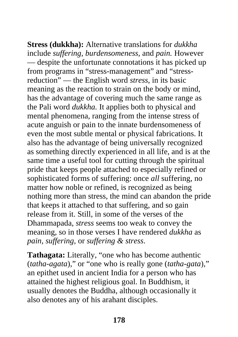**Stress (dukkha):** Alternative translations for *dukkha* include *suffering, burdensomeness,* and *pain.* However — despite the unfortunate connotations it has picked up from programs in "stress-management" and "stressreduction" — the English word *stress,* in its basic meaning as the reaction to strain on the body or mind, has the advantage of covering much the same range as the Pali word *dukkha.* It applies both to physical and mental phenomena, ranging from the intense stress of acute anguish or pain to the innate burdensomeness of even the most subtle mental or physical fabrications. It also has the advantage of being universally recognized as something directly experienced in all life, and is at the same time a useful tool for cutting through the spiritual pride that keeps people attached to especially refined or sophisticated forms of suffering: once *all* suffering, no matter how noble or refined, is recognized as being nothing more than stress, the mind can abandon the pride that keeps it attached to that suffering, and so gain release from it. Still, in some of the verses of the Dhammapada, *stress* seems too weak to convey the meaning, so in those verses I have rendered *dukkha* as *pain, suffering,* or *suffering & stress*.

**Tathagata:** Literally, "one who has become authentic (*tatha-agata*)*,* " or "one who is really gone (*tatha-gata*)*,* " an epithet used in ancient India for a person who has attained the highest religious goal. In Buddhism, it usually denotes the Buddha, although occasionally it also denotes any of his arahant disciples.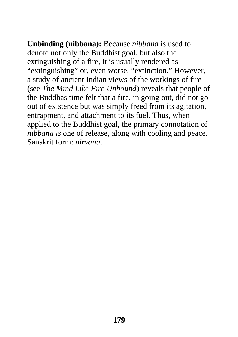**Unbinding (nibbana):** Because *nibbana* is used to denote not only the Buddhist goal, but also the extinguishing of a fire, it is usually rendered as "extinguishing" or, even worse, "extinction." However, a study of ancient Indian views of the workings of fire (see *The Mind Like Fire Unbound*) reveals that people of the Buddhas time felt that a fire, in going out, did not go out of existence but was simply freed from its agitation, entrapment, and attachment to its fuel. Thus, when applied to the Buddhist goal, the primary connotation of *nibbana is* one of release, along with cooling and peace. Sanskrit form: *nirvana*.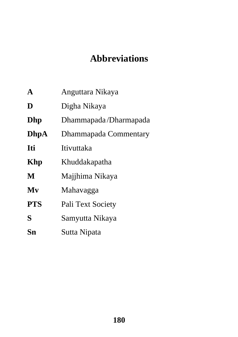## **Abbreviations**

| $\mathbf{A}$           | Anguttara Nikaya         |
|------------------------|--------------------------|
| $\bf{D}$               | Digha Nikaya             |
| Dhp                    | Dhammapada/Dharmapada    |
| <b>DhpA</b>            | Dhammapada Commentary    |
| Iti                    | Itivuttaka               |
| Khp                    | Khuddakapatha            |
| M                      | Majihima Nikaya          |
| $\mathbf{M}\mathbf{v}$ | Mahavagga                |
| <b>PTS</b>             | <b>Pali Text Society</b> |
| S                      | Samyutta Nikaya          |
| Sn                     | Sutta Nipata             |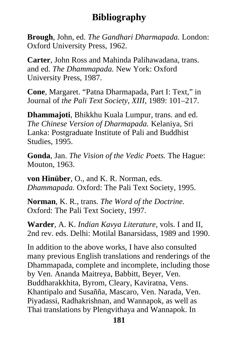#### **Bibliography**

**Brough**, John, ed. *The Gandhari Dharmapada.* London: Oxford University Press, 1962.

**Carter**, John Ross and Mahinda Palihawadana, trans. and ed. *The Dhammapada.* New York: Oxford University Press, 1987.

**Cone**, Margaret. "Patna Dharmapada, Part I: Text," in Journal of *the Pali Text Society, XIII,* 1989: 101–217.

**Dhammajoti**, Bhikkhu Kuala Lumpur, trans. and ed. *The Chinese Version of Dharmapada.* Kelaniya, Sri Lanka: Postgraduate Institute of Pali and Buddhist Studies, 1995.

**Gonda**, Jan. *The Vision of the Vedic Poets.* The Hague: Mouton, 1963.

**von Hinüber**, O., and K. R. Norman, eds. *Dhammapada.* Oxford: The Pali Text Society, 1995.

**Norman**, K. R., trans. *The Word of the Doctrine.* Oxford: The Pali Text Society, 1997.

**Warder**, A. K. *Indian Kavya Literature,* vols. I and II, 2nd rev. eds. Delhi: Motilal Banarsidass, 1989 and 1990.

In addition to the above works, I have also consulted many previous English translations and renderings of the Dhammapada, complete and incomplete, including those by Ven. Ananda Maitreya, Babbitt, Beyer, Ven. Buddharakkhita, Byrom, Cleary, Kaviratna, Vens. Khantipalo and Susañña, Mascaro, Ven. Narada, Ven. Piyadassi, Radhakrishnan, and Wannapok, as well as Thai translations by Plengvithaya and Wannapok. In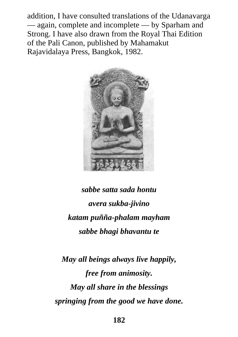addition, I have consulted translations of the Udanavarga — again, complete and incomplete — by Sparham and Strong. I have also drawn from the Royal Thai Edition of the Pali Canon, published by Mahamakut Rajavidalaya Press, Bangkok, 1982.



*sabbe satta sada hontu avera sukba-jivino katam puñña-phalam mayham sabbe bhagi bhavantu te*

*May all beings always live happily, free from animosity. May all share in the blessings springing from the good we have done.*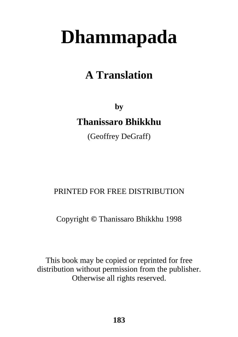# **Dhammapada**

### **A Translation**

**by**

#### **Thanissaro Bhikkhu**

(Geoffrey DeGraff)

#### PRINTED FOR FREE DISTRIBUTION

Copyright **©** Thanissaro Bhikkhu 1998

This book may be copied or reprinted for free distribution without permission from the publisher. Otherwise all rights reserved.